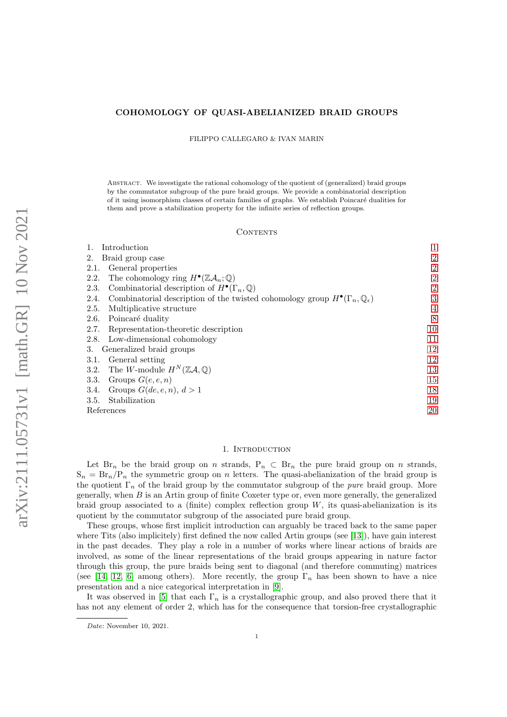# COHOMOLOGY OF QUASI-ABELIANIZED BRAID GROUPS

FILIPPO CALLEGARO & IVAN MARIN

ABSTRACT. We investigate the rational cohomology of the quotient of (generalized) braid groups by the commutator subgroup of the pure braid groups. We provide a combinatorial description of it using isomorphism classes of certain families of graphs. We establish Poincaré dualities for them and prove a stabilization property for the infinite series of reflection groups.

#### CONTENTS

| Introduction                                                                                                     | 1              |
|------------------------------------------------------------------------------------------------------------------|----------------|
| 2.<br>Braid group case                                                                                           | 2              |
| General properties<br>2.1.                                                                                       | 2              |
| The cohomology ring $H^{\bullet}(\mathbb{Z}A_n;\mathbb{Q})$<br>2.2.                                              | $\overline{2}$ |
| Combinatorial description of $H^{\bullet}(\Gamma_n, \mathbb{Q})$<br>2.3.                                         | $\overline{2}$ |
| Combinatorial description of the twisted cohomology group $H^{\bullet}(\Gamma_n, \mathbb{Q}_{\epsilon})$<br>2.4. | 3              |
| 2.5.<br>Multiplicative structure                                                                                 | $\overline{4}$ |
| Poincaré duality<br>2.6.                                                                                         | 8              |
| Representation-theoretic description<br>2.7.                                                                     | 10             |
| Low-dimensional cohomology<br>2.8.                                                                               | 11             |
| Generalized braid groups<br>3.                                                                                   | 12             |
| General setting<br>3.1.                                                                                          | 12             |
| 3.2. The W-module $H^N(\mathbb{Z}A,\mathbb{Q})$                                                                  | 13             |
| Groups $G(e, e, n)$<br>3.3.                                                                                      | 15             |
| Groups $G(de,e,n), d>1$<br>3.4.                                                                                  | 18             |
| Stabilization<br>3.5.                                                                                            | 19             |
| References                                                                                                       | 20             |

### 1. INTRODUCTION

<span id="page-0-0"></span>Let Br<sub>n</sub> be the braid group on n strands,  $P_n \subset Br_n$  the pure braid group on n strands,  $S_n = Br_n/P_n$  the symmetric group on n letters. The quasi-abelianization of the braid group is the quotient  $\Gamma_n$  of the braid group by the commutator subgroup of the *pure* braid group. More generally, when  $B$  is an Artin group of finite Coxeter type or, even more generally, the generalized braid group associated to a (finite) complex reflection group  $W$ , its quasi-abelianization is its quotient by the commutator subgroup of the associated pure braid group.

These groups, whose first implicit introduction can arguably be traced back to the same paper where Tits (also implicitely) first defined the now called Artin groups (see [\[13\]](#page-19-1)), have gain interest in the past decades. They play a role in a number of works where linear actions of braids are involved, as some of the linear representations of the braid groups appearing in nature factor through this group, the pure braids being sent to diagonal (and therefore commuting) matrices (see [\[14,](#page-19-2) [12,](#page-19-3) [6\]](#page-19-4) among others). More recently, the group  $\Gamma_n$  has been shown to have a nice presentation and a nice categorical interpretation in [\[9\]](#page-19-5).

It was observed in [\[5\]](#page-19-6) that each  $\Gamma_n$  is a crystallographic group, and also proved there that it has not any element of order 2, which has for the consequence that torsion-free crystallographic

Date: November 10, 2021.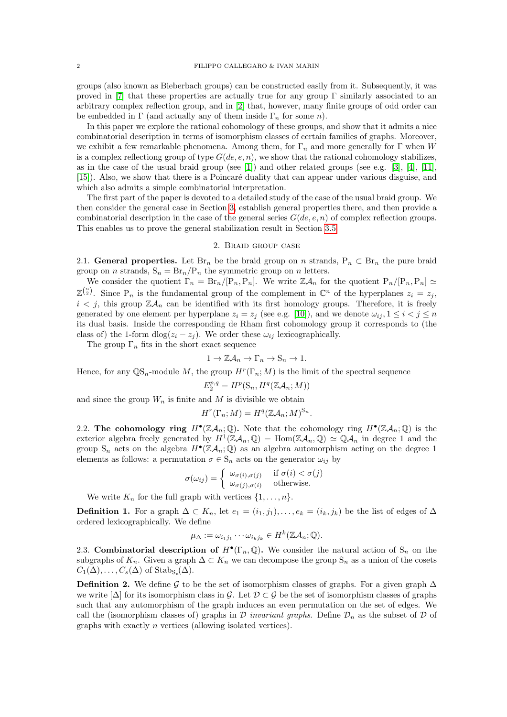groups (also known as Bieberbach groups) can be constructed easily from it. Subsequently, it was proved in [\[7\]](#page-19-7) that these properties are actually true for any group  $\Gamma$  similarly associated to an arbitrary complex reflection group, and in [\[2\]](#page-19-8) that, however, many finite groups of odd order can be embedded in  $\Gamma$  (and actually any of them inside  $\Gamma_n$  for some *n*).

In this paper we explore the rational cohomology of these groups, and show that it admits a nice combinatorial description in terms of isomorphism classes of certain families of graphs. Moreover, we exhibit a few remarkable phenomena. Among them, for  $\Gamma_n$  and more generally for  $\Gamma$  when W is a complex reflectiong group of type  $G(de, e, n)$ , we show that the rational cohomology stabilizes, as in the case of the usual braid group (see [\[1\]](#page-19-9)) and other related groups (see e.g. [\[3\]](#page-19-10), [\[4\]](#page-19-11), [\[11\]](#page-19-12), [\[15\]](#page-19-13)). Also, we show that there is a Poincaré duality that can appear under various disguise, and which also admits a simple combinatorial interpretation.

The first part of the paper is devoted to a detailed study of the case of the usual braid group. We then consider the general case in Section [3,](#page-11-0) establish general properties there, and then provide a combinatorial description in the case of the general series  $G(de, e, n)$  of complex reflection groups. This enables us to prove the general stabilization result in Section [3.5.](#page-18-0)

### 2. Braid group case

<span id="page-1-1"></span><span id="page-1-0"></span>2.1. General properties. Let  $\text{Br}_n$  be the braid group on n strands,  $P_n \subset \text{Br}_n$  the pure braid group on *n* strands,  $S_n = Br_n/P_n$  the symmetric group on *n* letters.

We consider the quotient  $\Gamma_n = Br_n/[P_n, P_n]$ . We write  $\mathbb{Z}A_n$  for the quotient  $P_n/[P_n, P_n] \simeq$  $\mathbb{Z}^{n \choose 2}$ . Since P<sub>n</sub> is the fundamental group of the complement in  $\mathbb{C}^n$  of the hyperplanes  $z_i = z_j$ ,  $i < j$ , this group  $\mathbb{Z}A_n$  can be identified with its first homology groups. Therefore, it is freely generated by one element per hyperplane  $z_i = z_j$  (see e.g. [\[10\]](#page-19-14)), and we denote  $\omega_{ij}$ ,  $1 \le i < j \le n$ its dual basis. Inside the corresponding de Rham first cohomology group it corresponds to (the class of) the 1-form dlog( $z_i - z_j$ ). We order these  $\omega_{ij}$  lexicographically.

The group  $\Gamma_n$  fits in the short exact sequence

$$
1 \to \mathbb{Z} \mathcal{A}_n \to \Gamma_n \to \mathcal{S}_n \to 1.
$$

Hence, for any  $\mathbb{Q}S_n$ -module M, the group  $H^r(\Gamma_n; M)$  is the limit of the spectral sequence

$$
E_2^{p,q} = H^p(\mathcal{S}_n, H^q(\mathbb{Z}\mathcal{A}_n; M))
$$

and since the group  $W_n$  is finite and M is divisible we obtain

$$
H^r(\Gamma_n; M) = H^q(\mathbb{Z}A_n; M)^{\mathbb{S}_n}.
$$

<span id="page-1-2"></span>2.2. The cohomology ring  $H^{\bullet}(\mathbb{Z}A_n;\mathbb{Q})$ . Note that the cohomology ring  $H^{\bullet}(\mathbb{Z}A_n;\mathbb{Q})$  is the exterior algebra freely generated by  $H^1(\mathbb{Z}A_n,\mathbb{Q}) = \text{Hom}(\mathbb{Z}A_n,\mathbb{Q}) \simeq \mathbb{Q}A_n$  in degree 1 and the group  $S_n$  acts on the algebra  $H^{\bullet}(\mathbb{Z}A_n;\mathbb{Q})$  as an algebra automorphism acting on the degree 1 elements as follows: a permutation  $\sigma \in S_n$  acts on the generator  $\omega_{ij}$  by

$$
\sigma(\omega_{ij}) = \begin{cases} \omega_{\sigma(i),\sigma(j)} & \text{if } \sigma(i) < \sigma(j) \\ \omega_{\sigma(j),\sigma(i)} & \text{otherwise.} \end{cases}
$$

We write  $K_n$  for the full graph with vertices  $\{1, \ldots, n\}.$ 

**Definition 1.** For a graph  $\Delta \subset K_n$ , let  $e_1 = (i_1, j_1), \ldots, e_k = (i_k, j_k)$  be the list of edges of  $\Delta$ ordered lexicographically. We define

$$
\mu_{\Delta} := \omega_{i_1 j_1} \cdots \omega_{i_k j_k} \in H^k(\mathbb{Z} \mathcal{A}_n; \mathbb{Q}).
$$

<span id="page-1-3"></span>2.3. Combinatorial description of  $H^{\bullet}(\Gamma_n, \mathbb{Q})$ . We consider the natural action of  $S_n$  on the subgraphs of  $K_n$ . Given a graph  $\Delta \subset K_n$  we can decompose the group  $S_n$  as a union of the cosets  $C_1(\Delta), \ldots, C_s(\Delta)$  of  $\mathrm{Stab}_{\mathrm{S}_n}(\Delta)$ .

**Definition 2.** We define G to be the set of isomorphism classes of graphs. For a given graph  $\Delta$ we write  $[\Delta]$  for its isomorphism class in G. Let  $\mathcal{D} \subset \mathcal{G}$  be the set of isomorphism classes of graphs such that any automorphism of the graph induces an even permutation on the set of edges. We call the (isomorphism classes of) graphs in  $\mathcal D$  invariant graphs. Define  $\mathcal D_n$  as the subset of  $\mathcal D$  of graphs with exactly n vertices (allowing isolated vertices).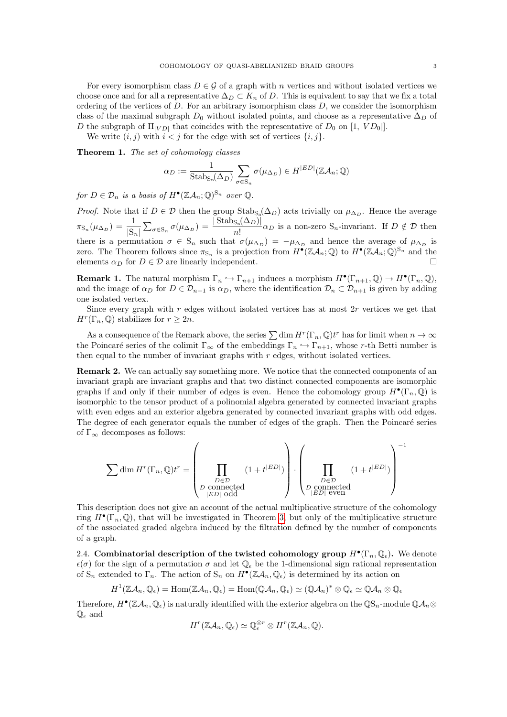For every isomorphism class  $D \in \mathcal{G}$  of a graph with n vertices and without isolated vertices we choose once and for all a representative  $\Delta_D \subset K_n$  of D. This is equivalent to say that we fix a total ordering of the vertices of  $D$ . For an arbitrary isomorphism class  $D$ , we consider the isomorphism class of the maximal subgraph  $D_0$  without isolated points, and choose as a representative  $\Delta_D$  of D the subgraph of  $\Pi_{[VD]}$  that coincides with the representative of  $D_0$  on  $[1, |VD_0|]$ .

We write  $(i, j)$  with  $i < j$  for the edge with set of vertices  $\{i, j\}$ .

<span id="page-2-1"></span>Theorem 1. The set of cohomology classes

$$
\alpha_D:=\frac{1}{\mathrm{Stab}_{\mathcal{S}_n}(\Delta_D)}\sum_{\sigma\in\mathcal{S}_n}\sigma(\mu_{\Delta_D})\in H^{|ED|}(\mathbb{Z}\mathcal{A}_n;\mathbb{Q})
$$

for  $D \in \mathcal{D}_n$  is a basis of  $H^{\bullet}(\mathbb{Z} \mathcal{A}_n;\mathbb{Q})^{\mathbb{S}_n}$  over  $\mathbb{Q}$ .

*Proof.* Note that if  $D \in \mathcal{D}$  then the group  $\text{Stab}_{S_n}(\Delta_D)$  acts trivially on  $\mu_{\Delta_D}$ . Hence the average  $\pi_{\mathrm{S}_n}(\mu_{\Delta_D}) = \frac{1}{|\mathrm{S}_n|} \sum_{\sigma \in \mathrm{S}_n} \sigma(\mu_{\Delta_D}) = \frac{|\operatorname{Stab}_{\mathrm{S}_n}(\Delta_D)|}{n!}$  $\frac{S_n(-D')}{n!}\alpha_D$  is a non-zero  $S_n$ -invariant. If  $D \notin \mathcal{D}$  then there is a permutation  $\sigma \in S_n$  such that  $\sigma(\mu_{\Delta_D}) = -\mu_{\Delta_D}$  and hence the average of  $\mu_{\Delta_D}$  is zero. The Theorem follows since  $\pi_{s_n}$  is a projection from  $H^{\bullet}(\mathbb{Z}A_n;\mathbb{Q})$  to  $H^{\bullet}(\mathbb{Z}A_n;\mathbb{Q})^{S_n}$  and the elements  $\alpha_D$  for  $D \in \mathcal{D}$  are linearly independent.

<span id="page-2-2"></span>**Remark 1.** The natural morphism  $\Gamma_n \hookrightarrow \Gamma_{n+1}$  induces a morphism  $H^{\bullet}(\Gamma_{n+1}, \mathbb{Q}) \to H^{\bullet}(\Gamma_n, \mathbb{Q}),$ and the image of  $\alpha_D$  for  $D \in \mathcal{D}_{n+1}$  is  $\alpha_D$ , where the identification  $\mathcal{D}_n \subset \mathcal{D}_{n+1}$  is given by adding one isolated vertex.

Since every graph with r edges without isolated vertices has at most 2r vertices we get that  $H^r(\Gamma_n, \mathbb{Q})$  stabilizes for  $r \geq 2n$ .

As a consequence of the Remark above, the series  $\sum \dim H^r(\Gamma_n, \mathbb{Q}) t^r$  has for limit when  $n \to \infty$ the Poincaré series of the colimit  $\Gamma_\infty$  of the embeddings  $\Gamma_n \hookrightarrow \Gamma_{n+1}$ , whose r-th Betti number is then equal to the number of invariant graphs with  $r$  edges, without isolated vertices.

Remark 2. We can actually say something more. We notice that the connected components of an invariant graph are invariant graphs and that two distinct connected components are isomorphic graphs if and only if their number of edges is even. Hence the cohomology group  $H^{\bullet}(\Gamma_n, \mathbb{Q})$  is isomorphic to the tensor product of a polinomial algebra generated by connected invariant graphs with even edges and an exterior algebra generated by connected invariant graphs with odd edges. The degree of each generator equals the number of edges of the graph. Then the Poincaré series of  $\Gamma_{\infty}$  decomposes as follows:

$$
\sum \dim H^r(\Gamma_n,\mathbb{Q})t^r = \left(\prod_{\substack{D \in \mathcal{D} \\ P \text{ connected} \\ |ED| \text{ odd}}} (1+t^{|ED|})\right) \cdot \left(\prod_{\substack{D \in \mathcal{D} \\ P \text{ connected} \\ |ED| \text{ even}}} (1+t^{|ED|})\right)^{-1}
$$

This description does not give an account of the actual multiplicative structure of the cohomology ring  $H^{\bullet}(\Gamma_n, \mathbb{Q})$ , that will be investigated in Theorem [3,](#page-5-0) but only of the multiplicative structure of the associated graded algebra induced by the filtration defined by the number of components of a graph.

<span id="page-2-0"></span>2.4. Combinatorial description of the twisted cohomology group  $H^{\bullet}(\Gamma_n, \mathbb{Q}_{\epsilon})$ . We denote  $\epsilon(\sigma)$  for the sign of a permutation  $\sigma$  and let  $\mathbb{Q}_{\epsilon}$  be the 1-dimensional sign rational representation of  $S_n$  extended to  $\Gamma_n$ . The action of  $S_n$  on  $H^{\bullet}(\mathbb{Z}A_n,\mathbb{Q}_{\epsilon})$  is determined by its action on

$$
H^1(\mathbb{Z} \mathcal{A}_n, \mathbb{Q}_{\epsilon}) = \text{Hom}(\mathbb{Z} \mathcal{A}_n, \mathbb{Q}_{\epsilon}) = \text{Hom}(\mathbb{Q} \mathcal{A}_n, \mathbb{Q}_{\epsilon}) \simeq (\mathbb{Q} \mathcal{A}_n)^* \otimes \mathbb{Q}_{\epsilon} \simeq \mathbb{Q} \mathcal{A}_n \otimes \mathbb{Q}_{\epsilon}
$$

Therefore,  $H^{\bullet}(\mathbb{Z}A_n,\mathbb{Q}_\epsilon)$  is naturally identified with the exterior algebra on the  $\mathbb{Q}S_n$ -module  $\mathbb{Q}A_n$  $\mathbb{Q}_{\epsilon}$  and

$$
H^r(\mathbb{Z}\mathcal{A}_n,\mathbb{Q}_\epsilon)\simeq \mathbb{Q}_\epsilon^{\otimes r} \otimes H^r(\mathbb{Z}\mathcal{A}_n,\mathbb{Q}).
$$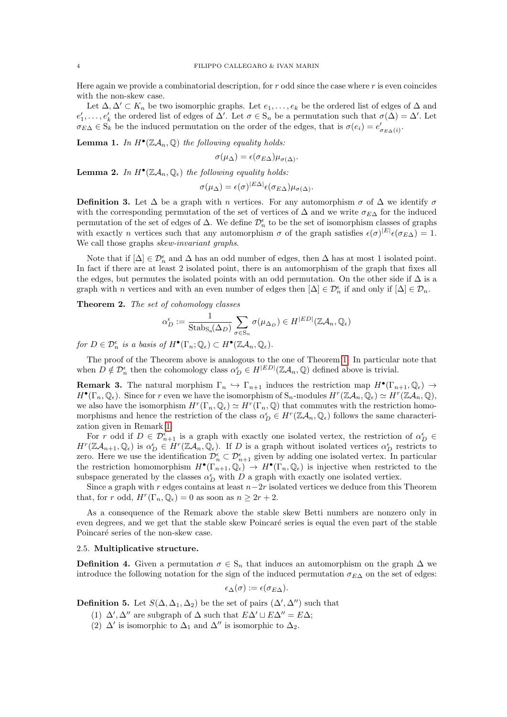Here again we provide a combinatorial description, for  $r$  odd since the case where  $r$  is even coincides with the non-skew case.

Let  $\Delta, \Delta' \subset K_n$  be two isomorphic graphs. Let  $e_1, \ldots, e_k$  be the ordered list of edges of  $\Delta$  and  $e'_1,\ldots,e'_k$  the ordered list of edges of  $\Delta'$ . Let  $\sigma \in S_n$  be a permutation such that  $\sigma(\Delta) = \Delta'$ . Let  $\sigma_{E\Delta} \in S_k$  be the induced permutation on the order of the edges, that is  $\sigma(e_i) = e'_{\sigma_{E\Delta}(i)}$ .

**Lemma 1.** In  $H^{\bullet}(\mathbb{Z}A_n, \mathbb{Q})$  the following equality holds:

$$
\sigma(\mu_{\Delta}) = \epsilon(\sigma_{E\Delta})\mu_{\sigma(\Delta)}.
$$

**Lemma 2.** In  $H^{\bullet}(\mathbb{Z}A_n, \mathbb{Q}_{\epsilon})$  the following equality holds:

$$
\sigma(\mu_{\Delta}) = \epsilon(\sigma)^{|E\Delta|} \epsilon(\sigma_{E\Delta}) \mu_{\sigma(\Delta)}.
$$

**Definition 3.** Let  $\Delta$  be a graph with n vertices. For any automorphism  $\sigma$  of  $\Delta$  we identify  $\sigma$ with the corresponding permutation of the set of vertices of  $\Delta$  and we write  $\sigma_{EA}$  for the induced permutation of the set of edges of  $\Delta$ . We define  $\mathcal{D}_n^{\epsilon}$  to be the set of isomorphism classes of graphs with exactly *n* vertices such that any automorphism  $\sigma$  of the graph satisfies  $\epsilon(\sigma)^{|E|}\epsilon(\sigma_{E\Delta})=1$ . We call those graphs *skew-invariant graphs*.

Note that if  $[\Delta] \in \mathcal{D}_n^{\epsilon}$  and  $\Delta$  has an odd number of edges, then  $\Delta$  has at most 1 isolated point. In fact if there are at least 2 isolated point, there is an automorphism of the graph that fixes all the edges, but permutes the isolated points with an odd permutation. On the other side if  $\Delta$  is a graph with *n* vertices and with an even number of edges then  $[\Delta] \in \mathcal{D}_n^{\epsilon}$  if and only if  $[\Delta] \in \mathcal{D}_n$ .

Theorem 2. The set of cohomology classes

$$
\alpha_D^\epsilon:=\frac{1}{\mathrm{Stab}_{\mathrm{S}_\mathrm{n}}(\Delta_D)}\sum_{\sigma\in \mathrm{S}_n}\sigma(\mu_{\Delta_D})\in H^{|ED|}(\mathbb{Z}\mathcal{A}_n,\mathbb{Q}_\epsilon)
$$

for  $D \in \mathcal{D}_n^{\epsilon}$  is a basis of  $H^{\bullet}(\Gamma_n; \mathbb{Q}_{\epsilon}) \subset H^{\bullet}(\mathbb{Z}\mathcal{A}_n, \mathbb{Q}_{\epsilon}).$ 

The proof of the Theorem above is analogous to the one of Theorem [1.](#page-2-1) In particular note that when  $D \notin \mathcal{D}_n^{\epsilon}$  then the cohomology class  $\alpha_D^{\epsilon} \in H^{|ED|}(\mathbb{Z}\mathcal{A}_n, \mathbb{Q})$  defined above is trivial.

**Remark 3.** The natural morphism  $\Gamma_n \hookrightarrow \Gamma_{n+1}$  induces the restriction map  $H^{\bullet}(\Gamma_{n+1}, \mathbb{Q}_{\epsilon}) \to$  $H^{\bullet}(\Gamma_n, \mathbb{Q}_{\epsilon})$ . Since for r even we have the isomorphism of  $S_n$ -modules  $H^r(\mathbb{Z}A_n, \mathbb{Q}_{\epsilon}) \simeq H^r(\mathbb{Z}A_n, \mathbb{Q}),$ we also have the isomorphism  $H^r(\Gamma_n, \mathbb{Q}_\epsilon) \simeq H^r(\Gamma_n, \mathbb{Q})$  that commutes with the restriction homomorphisms and hence the restriction of the class  $\alpha_D^{\epsilon} \in H^r(\mathbb{Z}A_n,\mathbb{Q}_{\epsilon})$  follows the same characterization given in Remark [1.](#page-2-2)

For r odd if  $D \in \mathcal{D}_{n+1}^{\epsilon}$  is a graph with exactly one isolated vertex, the restriction of  $\alpha_D^{\epsilon}$  $H^r(\mathbb{Z}A_{n+1},\mathbb{Q}_{\epsilon})$  is  $\alpha_D^{\epsilon} \in \hat{H}^r(\mathbb{Z}A_n,\mathbb{Q}_{\epsilon})$ . If D is a graph without isolated vertices  $\alpha_D^{\epsilon}$  restricts to zero. Here we use the identification  $\mathcal{D}_n^{\epsilon} \subset \mathcal{D}_{n+1}^{\epsilon}$  given by adding one isolated vertex. In particular the restriction homomorphism  $H^{\bullet}(\Gamma_{n+1}, \mathbb{Q}_{\epsilon}) \to H^{\bullet}(\Gamma_n, \mathbb{Q}_{\epsilon})$  is injective when restricted to the subspace generated by the classes  $\alpha_D^{\epsilon}$  with D a graph with exactly one isolated vertiex.

Since a graph with r edges contains at least  $n-2r$  isolated vertices we deduce from this Theorem that, for r odd,  $H^r(\Gamma_n, \mathbb{Q}_\epsilon) = 0$  as soon as  $n \geq 2r + 2$ .

As a consequence of the Remark above the stable skew Betti numbers are nonzero only in even degrees, and we get that the stable skew Poincaré series is equal the even part of the stable Poincaré series of the non-skew case.

## <span id="page-3-0"></span>2.5. Multiplicative structure.

**Definition 4.** Given a permutation  $\sigma \in S_n$  that induces an automorphism on the graph  $\Delta$  we introduce the following notation for the sign of the induced permutation  $\sigma_{E\Delta}$  on the set of edges:

$$
\epsilon_{\Delta}(\sigma):=\epsilon(\sigma_{E\Delta}).
$$

**Definition 5.** Let  $S(\Delta, \Delta_1, \Delta_2)$  be the set of pairs  $({\Delta}', {\Delta}'')$  such that

- (1)  $\Delta'$ ,  $\Delta''$  are subgraph of  $\Delta$  such that  $E\Delta' \sqcup E\Delta'' = E\Delta$ ;
- (2)  $\Delta'$  is isomorphic to  $\Delta_1$  and  $\Delta''$  is isomorphic to  $\Delta_2$ .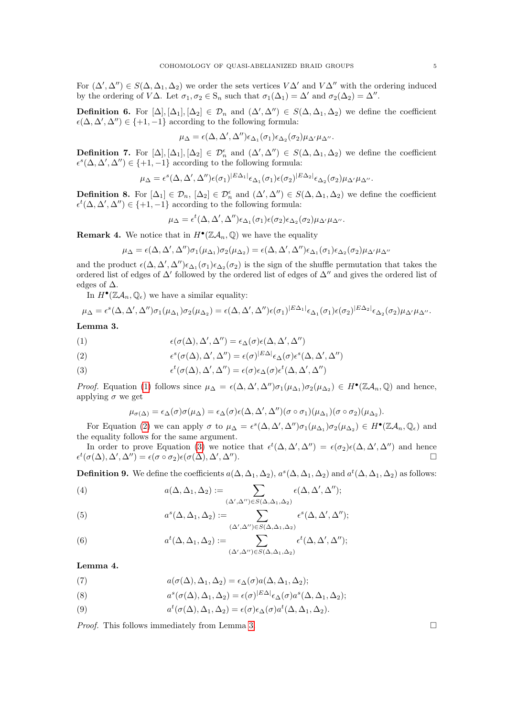For  $(\Delta', \Delta'') \in S(\Delta, \Delta_1, \Delta_2)$  we order the sets vertices  $V\Delta'$  and  $V\Delta''$  with the ordering induced by the ordering of  $V\Delta$ . Let  $\sigma_1, \sigma_2 \in S_n$  such that  $\sigma_1(\Delta_1) = \Delta'$  and  $\sigma_2(\Delta_2) = \Delta''$ .

**Definition 6.** For  $[\Delta], [\Delta_1], [\Delta_2] \in \mathcal{D}_n$  and  $(\Delta', \Delta'') \in S(\Delta, \Delta_1, \Delta_2)$  we define the coefficient  $\epsilon(\Delta, \Delta', \Delta'') \in \{+1, -1\}$  according to the following formula:

$$
\mu_{\Delta} = \epsilon(\Delta, \Delta', \Delta'') \epsilon_{\Delta_1}(\sigma_1) \epsilon_{\Delta_2}(\sigma_2) \mu_{\Delta'} \mu_{\Delta''}.
$$

**Definition 7.** For  $[\Delta], [\Delta_1], [\Delta_2] \in \mathcal{D}_n^{\epsilon}$  and  $(\Delta', \Delta'') \in S(\Delta, \Delta_1, \Delta_2)$  we define the coefficient  $\epsilon^{s}(\Delta, \Delta', \Delta'') \in \{+1, -1\}$  according to the following formula:

$$
\mu_{\Delta} = \epsilon^{s}(\Delta, \Delta', \Delta'')\epsilon(\sigma_1)^{|E\Delta_1|}\epsilon_{\Delta_1}(\sigma_1)\epsilon(\sigma_2)^{|E\Delta_2|}\epsilon_{\Delta_2}(\sigma_2)\mu_{\Delta'}\mu_{\Delta''}.
$$

**Definition 8.** For  $[\Delta_1] \in \mathcal{D}_n$ ,  $[\Delta_2] \in \mathcal{D}_n^{\epsilon}$  and  $(\Delta', \Delta'') \in S(\Delta, \Delta_1, \Delta_2)$  we define the coefficient  $\epsilon^t(\Delta, \Delta', \Delta'') \in \{+1, -1\}$  according to the following formula:

$$
\mu_{\Delta} = \epsilon^t(\Delta, \Delta', \Delta'') \epsilon_{\Delta_1}(\sigma_1) \epsilon(\sigma_2) \epsilon_{\Delta_2}(\sigma_2) \mu_{\Delta'} \mu_{\Delta''}.
$$

**Remark 4.** We notice that in  $H^{\bullet}(\mathbb{Z}A_n, \mathbb{Q})$  we have the equality

$$
\mu_\Delta = \epsilon(\Delta,\Delta',\Delta'')\sigma_1(\mu_{\Delta_1})\sigma_2(\mu_{\Delta_2}) = \epsilon(\Delta,\Delta',\Delta'')\epsilon_{\Delta_1}(\sigma_1)\epsilon_{\Delta_2}(\sigma_2)\mu_{\Delta'}\mu_{\Delta''}
$$

and the product  $\epsilon(\Delta, \Delta', \Delta'')\epsilon_{\Delta_1}(\sigma_1)\epsilon_{\Delta_2}(\sigma_2)$  is the sign of the shuffle permutation that takes the ordered list of edges of  $\Delta'$  followed by the ordered list of edges of  $\Delta''$  and gives the ordered list of edges of  $\Delta$ .

In  $H^{\bullet}(\mathbb{Z}A_n,\mathbb{Q}_\epsilon)$  we have a similar equality:

$$
\mu_{\Delta} = \epsilon^{s}(\Delta, \Delta', \Delta'')\sigma_1(\mu_{\Delta_1})\sigma_2(\mu_{\Delta_2}) = \epsilon(\Delta, \Delta', \Delta'')\epsilon(\sigma_1)^{|E\Delta_1|}\epsilon_{\Delta_1}(\sigma_1)\epsilon(\sigma_2)^{|E\Delta_2|}\epsilon_{\Delta_2}(\sigma_2)\mu_{\Delta'}\mu_{\Delta''}.
$$

<span id="page-4-3"></span>Lemma 3.

<span id="page-4-0"></span>(1) 
$$
\epsilon(\sigma(\Delta), \Delta', \Delta'') = \epsilon_{\Delta}(\sigma)\epsilon(\Delta, \Delta', \Delta'')
$$

<span id="page-4-1"></span>(2) 
$$
\epsilon^{s}(\sigma(\Delta), \Delta', \Delta'') = \epsilon(\sigma)^{|E\Delta|} \epsilon_{\Delta}(\sigma) \epsilon^{s}(\Delta, \Delta', \Delta'')
$$

<span id="page-4-2"></span>(3) 
$$
\epsilon^t(\sigma(\Delta), \Delta', \Delta'') = \epsilon(\sigma) \epsilon_{\Delta}(\sigma) \epsilon^t(\Delta, \Delta', \Delta'')
$$

Proof. Equation [\(1\)](#page-4-0) follows since  $\mu_{\Delta} = \epsilon(\Delta, \Delta', \Delta'') \sigma_1(\mu_{\Delta_1}) \sigma_2(\mu_{\Delta_2}) \in H^{\bullet}(\mathbb{Z}A_n, \mathbb{Q})$  and hence, applying  $\sigma$  we get

$$
\mu_{\sigma(\Delta)} = \epsilon_{\Delta}(\sigma)\sigma(\mu_{\Delta}) = \epsilon_{\Delta}(\sigma)\epsilon(\Delta, \Delta', \Delta'')(\sigma \circ \sigma_1)(\mu_{\Delta_1})(\sigma \circ \sigma_2)(\mu_{\Delta_2}).
$$

For Equation [\(2\)](#page-4-1) we can apply  $\sigma$  to  $\mu_{\Delta} = \epsilon^s(\Delta, \Delta', \Delta'')\sigma_1(\mu_{\Delta_1})\sigma_2(\mu_{\Delta_2}) \in H^{\bullet}(\mathbb{Z}\mathcal{A}_n, \mathbb{Q}_{\epsilon})$  and the equality follows for the same argument.

In order to prove Equation [\(3\)](#page-4-2) we notice that  $\epsilon^t(\Delta, \Delta', \Delta'') = \epsilon(\sigma_2)\epsilon(\Delta, \Delta', \Delta'')$  and hence  $\epsilon^t(\sigma(\Delta),\Delta',\Delta'') = \epsilon(\sigma \circ \sigma_2)\epsilon(\sigma(\Delta),\Delta'$ ,  $\Delta$ ").

**Definition 9.** We define the coefficients  $a(\Delta, \Delta_1, \Delta_2), a^s(\Delta, \Delta_1, \Delta_2)$  and  $a^t(\Delta, \Delta_1, \Delta_2)$  as follows:

(4) 
$$
a(\Delta, \Delta_1, \Delta_2) := \sum_{(\Delta', \Delta'') \in S(\Delta, \Delta_1, \Delta_2)} \epsilon(\Delta, \Delta', \Delta'');
$$

(5) 
$$
a^{s}(\Delta, \Delta_1, \Delta_2) := \sum_{(\Delta', \Delta'') \in S(\Delta, \Delta_1, \Delta_2)} \epsilon^{s}(\Delta, \Delta', \Delta'');
$$

(6) 
$$
a^t(\Delta, \Delta_1, \Delta_2) := \sum_{(\Delta', \Delta'') \in S(\Delta, \Delta_1, \Delta_2)} \epsilon^t(\Delta, \Delta', \Delta'');
$$

Lemma 4.

(7) 
$$
a(\sigma(\Delta), \Delta_1, \Delta_2) = \epsilon_{\Delta}(\sigma) a(\Delta, \Delta_1, \Delta_2);
$$

(8) 
$$
a^{s}(\sigma(\Delta), \Delta_1, \Delta_2) = \epsilon(\sigma)^{|E\Delta|} \epsilon_{\Delta}(\sigma) a^{s}(\Delta, \Delta_1, \Delta_2);
$$

(9) 
$$
a^t(\sigma(\Delta), \Delta_1, \Delta_2) = \epsilon(\sigma) \epsilon_{\Delta}(\sigma) a^t(\Delta, \Delta_1, \Delta_2).
$$

Proof. This follows immediately from Lemma [3.](#page-4-3)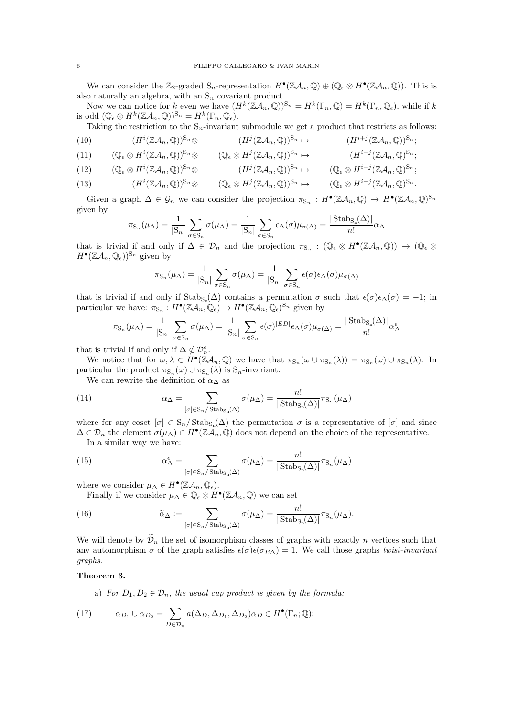We can consider the  $\mathbb{Z}_2$ -graded  $S_n$ -representation  $H^{\bullet}(\mathbb{Z}A_n, \mathbb{Q}) \oplus (\mathbb{Q}_{\epsilon} \otimes H^{\bullet}(\mathbb{Z}A_n, \mathbb{Q}))$ . This is also naturally an algebra, with an  $S_n$  covariant product.

Now we can notice for k even we have  $(H^k(\mathbb{Z}A_n,\mathbb{Q}))^{\mathbb{S}_n}=H^k(\Gamma_n,\mathbb{Q})=H^k(\Gamma_n,\mathbb{Q}_{\epsilon})$ , while if k is odd  $(\mathbb{Q}_{\epsilon} \otimes H^k(\mathbb{Z}A_n, \mathbb{Q}))^{\mathbb{S}_n} = H^k(\Gamma_n, \mathbb{Q}_{\epsilon}).$ 

Taking the restriction to the  $S_n$ -invariant submodule we get a product that restricts as follows:

(10) 
$$
(H^{i}(\mathbb{Z}A_{n},\mathbb{Q}))^{S_{n}}\otimes (H^{j}(\mathbb{Z}A_{n},\mathbb{Q}))^{S_{n}} \rightarrow (H^{i+j}(\mathbb{Z}A_{n},\mathbb{Q}))^{S_{n}};
$$
\n(11) 
$$
(\mathbb{Q}\otimes H^{i}(\mathbb{Z}A_{n},\mathbb{Q}))^{S_{n}}\otimes (\mathbb{Q}\otimes H^{j}(\mathbb{Z}A_{n},\mathbb{Q}))^{S_{n}}.
$$

$$
(11) \qquad (\mathbb{Q}_{\epsilon} \otimes H^{i}(\mathbb{Z}\mathcal{A}_{n},\mathbb{Q}))^{S_{n}} \otimes \qquad (\mathbb{Q}_{\epsilon} \otimes H^{j}(\mathbb{Z}\mathcal{A}_{n},\mathbb{Q}))^{S_{n}} \mapsto \qquad (H^{i+j}(\mathbb{Z}\mathcal{A}_{n},\mathbb{Q})^{S_{n}};
$$

(12) 
$$
(\mathbb{Q}_{\epsilon} \otimes H^{i}(\mathbb{Z}\mathcal{A}_{n},\mathbb{Q}))^{S_{n}} \otimes (H^{j}(\mathbb{Z}\mathcal{A}_{n},\mathbb{Q}))^{S_{n}} \mapsto (\mathbb{Q}_{\epsilon} \otimes H^{i+j}(\mathbb{Z}\mathcal{A}_{n},\mathbb{Q})^{S_{n}};
$$

(13) 
$$
(H^{i}(\mathbb{Z}A_{n},\mathbb{Q}))^{S_{n}}\otimes (\mathbb{Q}_{\epsilon}\otimes H^{j}(\mathbb{Z}A_{n},\mathbb{Q}))^{S_{n}} \mapsto (\mathbb{Q}_{\epsilon}\otimes H^{i+j}(\mathbb{Z}A_{n},\mathbb{Q})^{S_{n}}.
$$

Given a graph  $\Delta \in \mathcal{G}_n$  we can consider the projection  $\pi_{S_n}: H^{\bullet}(\mathbb{Z}A_n, \mathbb{Q}) \to H^{\bullet}(\mathbb{Z}A_n, \mathbb{Q})^{S_n}$ given by

$$
\pi_{\mathcal{S}_n}(\mu_{\Delta}) = \frac{1}{|\mathcal{S}_n|} \sum_{\sigma \in \mathcal{S}_n} \sigma(\mu_{\Delta}) = \frac{1}{|\mathcal{S}_n|} \sum_{\sigma \in \mathcal{S}_n} \epsilon_{\Delta}(\sigma) \mu_{\sigma(\Delta)} = \frac{|\text{Stabs}_n(\Delta)|}{n!} \alpha_{\Delta}
$$

that is trivial if and only if  $\Delta \in \mathcal{D}_n$  and the projection  $\pi_{S_n} : (\mathbb{Q}_{\epsilon} \otimes H^{\bullet}(\mathbb{Z}A_n, \mathbb{Q})) \to (\mathbb{Q}_{\epsilon} \otimes$  $H^{\bullet}(\mathbb{Z}A_n,\mathbb{Q}_{\epsilon}))^{\mathbb{S}_n}$  given by

$$
\pi_{\mathcal{S}_n}(\mu_{\Delta}) = \frac{1}{|\mathcal{S}_n|} \sum_{\sigma \in \mathcal{S}_n} \sigma(\mu_{\Delta}) = \frac{1}{|\mathcal{S}_n|} \sum_{\sigma \in \mathcal{S}_n} \epsilon(\sigma) \epsilon_{\Delta}(\sigma) \mu_{\sigma(\Delta)}
$$

that is trivial if and only if  $\text{Stab}_{S_n}(\Delta)$  contains a permutation  $\sigma$  such that  $\epsilon(\sigma)\epsilon_{\Delta}(\sigma) = -1$ ; in particular we have:  $\pi_{S_n}: H^{\bullet}(\mathbb{Z}A_n, \mathbb{Q}_\epsilon) \to H^{\bullet}(\mathbb{Z}A_n, \mathbb{Q}_\epsilon)^{S_n}$  given by

$$
\pi_{\mathcal{S}_n}(\mu_{\Delta}) = \frac{1}{|\mathcal{S}_n|} \sum_{\sigma \in \mathcal{S}_n} \sigma(\mu_{\Delta}) = \frac{1}{|\mathcal{S}_n|} \sum_{\sigma \in \mathcal{S}_n} \epsilon(\sigma)^{|ED|} \epsilon_{\Delta}(\sigma) \mu_{\sigma(\Delta)} = \frac{|\text{Stab}_{\mathcal{S}_n}(\Delta)|}{n!} \alpha_{\Delta}^{\epsilon}
$$

that is trivial if and only if  $\Delta \notin \mathcal{D}_n^{\epsilon}$ .

We notice that for  $\omega, \lambda \in H^{\bullet}(\mathbb{Z}A_n, \mathbb{Q})$  we have that  $\pi_{S_n}(\omega \cup \pi_{S_n}(\lambda)) = \pi_{S_n}(\omega) \cup \pi_{S_n}(\lambda)$ . In particular the product  $\pi_{S_n}(\omega) \cup \pi_{S_n}(\lambda)$  is  $S_n$ -invariant.

We can rewrite the definition of  $\alpha_{\Delta}$  as

(14) 
$$
\alpha_{\Delta} = \sum_{[\sigma] \in S_n / \text{Stab}_{S_n}(\Delta)} \sigma(\mu_{\Delta}) = \frac{n!}{|\text{Stab}_{S_n}(\Delta)|} \pi_{S_n}(\mu_{\Delta})
$$

where for any coset  $[\sigma] \in S_n / \text{Stab}_{S_n}(\Delta)$  the permutation  $\sigma$  is a representative of  $[\sigma]$  and since  $\Delta \in \mathcal{D}_n$  the element  $\sigma(\mu_\Delta) \in H^{\bullet}(\mathbb{Z}A_n, \mathbb{Q})$  does not depend on the choice of the representative.

In a similar way we have:

(15) 
$$
\alpha_{\Delta}^{\epsilon} = \sum_{[\sigma] \in S_n / \text{Stabs}_n(\Delta)} \sigma(\mu_{\Delta}) = \frac{n!}{|\text{Stab}_{S_n}(\Delta)|} \pi_{S_n}(\mu_{\Delta})
$$

where we consider  $\mu_{\Delta} \in H^{\bullet}(\mathbb{Z}A_n, \mathbb{Q}_{\epsilon}).$ 

Finally if we consider  $\mu_{\Delta} \in \mathbb{Q}_{\epsilon} \otimes H^{\bullet}(\mathbb{Z}A_n, \mathbb{Q})$  we can set

(16) 
$$
\widetilde{\alpha}_{\Delta} := \sum_{[\sigma] \in S_n / \operatorname{Stab}_{S_n}(\Delta)} \sigma(\mu_{\Delta}) = \frac{n!}{|\operatorname{Stab}_{S_n}(\Delta)|} \pi_{S_n}(\mu_{\Delta}).
$$

We will denote by  $\mathcal{D}_n$  the set of isomorphism classes of graphs with exactly n vertices such that any automorphism  $\sigma$  of the graph satisfies  $\epsilon(\sigma)\epsilon(\sigma_{E\Delta})=1$ . We call those graphs twist-invariant graphs.

## <span id="page-5-0"></span>Theorem 3.

a) For  $D_1, D_2 \in \mathcal{D}_n$ , the usual cup product is given by the formula:

<span id="page-5-1"></span>(17) 
$$
\alpha_{D_1} \cup \alpha_{D_2} = \sum_{D \in \mathcal{D}_n} a(\Delta_D, \Delta_{D_1}, \Delta_{D_2}) \alpha_D \in H^{\bullet}(\Gamma_n; \mathbb{Q});
$$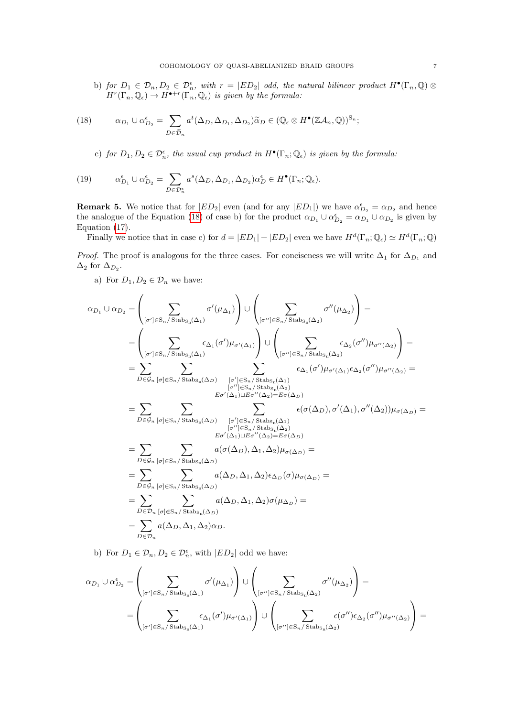b) for  $D_1 \in \mathcal{D}_n, D_2 \in \mathcal{D}_n^{\epsilon}$ , with  $r = |ED_2|$  odd, the natural bilinear product  $H^{\bullet}(\Gamma_n, \mathbb{Q})$  $H^r(\Gamma_n,\mathbb{Q}_\epsilon) \to H^{\bullet+r}(\Gamma_n,\mathbb{Q}_\epsilon)$  is given by the formula:

<span id="page-6-0"></span>(18) 
$$
\alpha_{D_1} \cup \alpha_{D_2}^{\epsilon} = \sum_{D \in \tilde{\mathcal{D}}_n} a^t(\Delta_D, \Delta_{D_1}, \Delta_{D_2}) \tilde{\alpha}_D \in (\mathbb{Q}_{\epsilon} \otimes H^{\bullet}(\mathbb{Z}\mathcal{A}_n, \mathbb{Q}))^{S_n};
$$

c) for  $D_1, D_2 \in \mathcal{D}_n^{\epsilon}$ , the usual cup product in  $H^{\bullet}(\Gamma_n; \mathbb{Q}_{\epsilon})$  is given by the formula:

(19) 
$$
\alpha_{D_1}^{\epsilon} \cup \alpha_{D_2}^{\epsilon} = \sum_{D \in \mathcal{D}_n^{\epsilon}} a^s (\Delta_D, \Delta_{D_1}, \Delta_{D_2}) \alpha_D^{\epsilon} \in H^{\bullet}(\Gamma_n; \mathbb{Q}_{\epsilon}).
$$

**Remark 5.** We notice that for  $|ED_2|$  even (and for any  $|ED_1|$ ) we have  $\alpha_{D_2}^{\epsilon} = \alpha_{D_2}$  and hence the analogue of the Equation [\(18\)](#page-6-0) of case b) for the product  $\alpha_{D_1} \cup \alpha_{D_2}^{\epsilon} = \alpha_{D_1} \cup \alpha_{D_2}$  is given by Equation [\(17\)](#page-5-1).

Finally we notice that in case c) for  $d = |ED_1| + |ED_2|$  even we have  $H^d(\Gamma_n; \mathbb{Q}_\epsilon) \simeq H^d(\Gamma_n; \mathbb{Q})$ 

*Proof.* The proof is analogous for the three cases. For conciseness we will write  $\Delta_1$  for  $\Delta_{D_1}$  and  $\Delta_2$  for  $\Delta_{D_2}$ .

a) For  $D_1, D_2 \in \mathcal{D}_n$  we have:

$$
\begin{split} \alpha_{D_1} \cup \alpha_{D_2} & = \left(\sum_{[\sigma'] \in \mathcal{S}_n / \operatorname{Stabs}_n(\Delta_1)} \sigma'(\mu_{\Delta_1})\right) \cup \left(\sum_{[\sigma''] \in \mathcal{S}_n / \operatorname{Stabs}_n(\Delta_2)} \sigma''(\mu_{\Delta_2})\right) = \\ & = \left(\sum_{[\sigma'] \in \mathcal{S}_n / \operatorname{Stabs}_n(\Delta_1)} \epsilon_{\Delta_1}(\sigma') \mu_{\sigma'(\Delta_1)}\right) \cup \left(\sum_{[\sigma''] \in \mathcal{S}_n / \operatorname{Stabs}_n(\Delta_2)} \epsilon_{\Delta_2}(\sigma'') \mu_{\sigma''(\Delta_2)}\right) = \\ & = \sum_{D \in \mathcal{G}_n} \sum_{[\sigma] \in \mathcal{S}_n / \operatorname{Stabs}_n(\Delta_D)} \sum_{[\sigma'] \in \mathcal{S}_n / \operatorname{Stabs}_n(\Delta_1)} \epsilon_{\Delta_1}(\sigma') \mu_{\sigma'(\Delta_1)} \epsilon_{\Delta_2}(\sigma'') \mu_{\sigma''(\Delta_2)} = \\ & = \sum_{D \in \mathcal{G}_n} \sum_{[\sigma] \in \mathcal{S}_n / \operatorname{Stabs}_n(\Delta_D)} \sum_{[\sigma'] \in \mathcal{S}_n / \operatorname{Stabs}_n(\Delta_2)} \epsilon_{\Delta_1}(\sigma') \mu_{\sigma'(\Delta_1)} \epsilon_{\Delta_2}(\sigma'') \mu_{\sigma''(\Delta_2)} = \\ & = \sum_{D \in \mathcal{G}_n} \sum_{[\sigma] \in \mathcal{S}_n / \operatorname{Stabs}_n(\Delta_D)} \sum_{[\sigma'] \in \mathcal{S}_n / \operatorname{Stabs}_n(\Delta_1)} \epsilon(\sigma(\Delta_D), \sigma'(\Delta_1), \sigma''(\Delta_2)) \mu_{\sigma(\Delta_D)} = \\ & = \sum_{D \in \mathcal{G}_n} \sum_{[\sigma] \in \mathcal{S}_n / \operatorname{Stabs}_n(\Delta_D)} a(\sigma(\Delta_D), \Delta_1, \Delta_2) \mu_{\sigma(\Delta_D)} = \\ & = \sum_{D \in \mathcal{G}_n} \sum_{[\sigma] \in \mathcal{S}_n / \operatorname{Stabs}_n(\Delta_D)} a(\Delta_D, \Delta_1, \Delta_2) \epsilon_{\Delta_D}(\sigma) \mu_{\sigma(\Delta_D)} = \\ & = \sum_{D \in \mathcal{D}_n} \sum_{[\sigma]
$$

b) For  $D_1 \in \mathcal{D}_n, D_2 \in \mathcal{D}_n^{\epsilon}$ , with  $|ED_2|$  odd we have:

$$
\alpha_{D_1} \cup \alpha_{D_2}^{\epsilon} = \left( \sum_{[\sigma'] \in S_n / \text{Stab}_{S_n}(\Delta_1)} \sigma'(\mu_{\Delta_1}) \right) \cup \left( \sum_{[\sigma''] \in S_n / \text{Stab}_{S_n}(\Delta_2)} \sigma''(\mu_{\Delta_2}) \right) =
$$
  
= 
$$
\left( \sum_{[\sigma'] \in S_n / \text{Stab}_{S_n}(\Delta_1)} \epsilon_{\Delta_1}(\sigma') \mu_{\sigma'(\Delta_1)} \right) \cup \left( \sum_{[\sigma''] \in S_n / \text{Stab}_{S_n}(\Delta_2)} \epsilon(\sigma'') \epsilon_{\Delta_2}(\sigma'') \mu_{\sigma''(\Delta_2)} \right) =
$$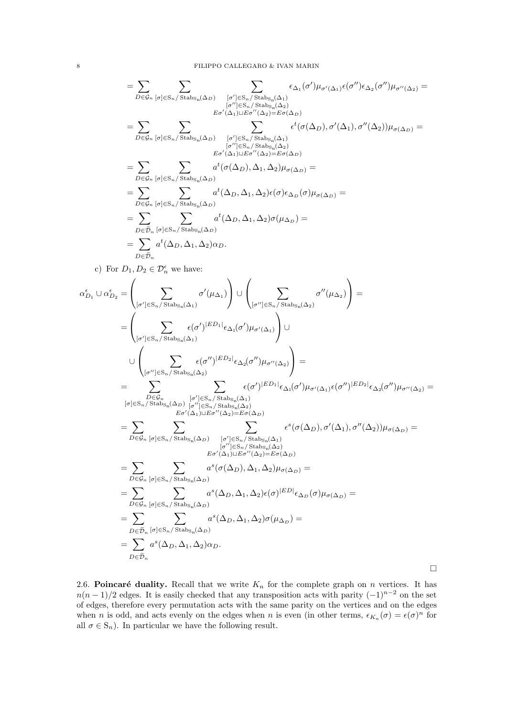$$
=\sum_{D\in\mathcal{G}_n}\sum_{[\sigma]\in S_n/\operatorname{Stab}_{S_n}(\Delta_D)}\sum_{[\sigma']\in S_n/\operatorname{Stab}_{S_n}(\Delta_1)}\epsilon_{\Delta_1}(\sigma')\mu_{\sigma'(\Delta_1)}\epsilon(\sigma'')\epsilon_{\Delta_2}(\sigma'')\mu_{\sigma''(\Delta_2)}=\\ \sum_{[\sigma'']\in S_n/\operatorname{Stab}_{S_n}(\Delta_2)}\epsilon_{\sigma'(\Delta_1)\sqcup \operatorname{E}\sigma''(\Delta_2)=\operatorname{E}\sigma(\Delta_D)}\epsilon_{\sigma'(\Delta_1)\sqcup \operatorname{E}\sigma''(\Delta_2)=\operatorname{E}\sigma(\Delta_D)}\epsilon^t(\sigma(\Delta_D),\sigma'(\Delta_1),\sigma''(\Delta_2))\mu_{\sigma(\Delta_D)}=\\ \sum_{D\in\mathcal{G}_n}\sum_{[\sigma]\in S_n/\operatorname{Stab}_{S_n}(\Delta_D)}\sum_{[\sigma']\in S_n/\operatorname{Stab}_{S_n}(\Delta_2)}\epsilon^t(\sigma(\Delta_D),\sigma'(\Delta_1),\sigma''(\Delta_2))\mu_{\sigma(\Delta_D)}=\\=\sum_{D\in\mathcal{G}_n}\sum_{[\sigma]\in S_n/\operatorname{Stab}_{S_n}(\Delta_D)}a^t(\sigma(\Delta_D),\Delta_1,\Delta_2)\epsilon(\sigma)\epsilon_{\Delta_D}(\sigma)\mu_{\sigma(\Delta_D)}=\\=\sum_{D\in\mathcal{D}_n}\sum_{[\sigma]\in S_n/\operatorname{Stab}_{S_n}(\Delta_D)}a^t(\Delta_D,\Delta_1,\Delta_2)\sigma(\mu_{\Delta_D})=\\=\sum_{D\in\mathcal{D}_n}\epsilon^t(\Delta_D,\Delta_{1},\Delta_2)\sigma(\mu_{\Delta_D})=\\=\sum_{D\in\mathcal{D}_n}a^t(\Delta_D,\Delta_1,\Delta_2)\alpha_D.
$$

c) For  $D_1, D_2 \in \mathcal{D}_n^{\epsilon}$  we have:

$$
\begin{split} \alpha_{D_1}^{\epsilon} \cup \alpha_{D_2}^{\epsilon} &= \left( \sum_{[\sigma'] \in \mathcal{S}_n/\operatorname{Stab}_{\mathcal{S}_n}(\Delta_1)} \sigma'(\mu_{\Delta_1}) \right) \cup \left( \sum_{[\sigma''] \in \mathcal{S}_n/\operatorname{Stab}_{\mathcal{S}_n}(\Delta_2)} \sigma''(\mu_{\Delta_2}) \right) = \\ &= \left( \sum_{[\sigma'] \in \mathcal{S}_n/\operatorname{Stab}_{\mathcal{S}_n}(\Delta_1)} \epsilon(\sigma')^{|ED_1|} \epsilon_{\Delta_1}(\sigma') \mu_{\sigma'}(\Delta_1) \right) \cup \\ & \cup \left( \sum_{[\sigma''] \in \mathcal{S}_n/\operatorname{Stab}_{\mathcal{S}_n}(\Delta_2)} \epsilon(\sigma'')^{|ED_2|} \epsilon_{\Delta_2}(\sigma'') \mu_{\sigma''(\Delta_2)} \right) = \\ &= \sum_{\substack{D \in \mathcal{G}_n \\ D \in \mathcal{G}_n}} \sum_{[\sigma'] \in \mathcal{S}_n/\operatorname{Stab}_{\mathcal{S}_n}(\Delta_2)} \frac{[\sigma'] \in \mathcal{S}_n/\operatorname{Stab}_{\mathcal{S}_n}(\Delta_1)}{[\sigma''] \in \mathcal{S}_n/\operatorname{Stab}_{\mathcal{S}_n}(\Delta_2)} \\ & = \sum_{D \in \mathcal{G}_n} \sum_{[\sigma] \in \mathcal{S}_n/\operatorname{Stab}_{\mathcal{S}_n}(\Delta_2)} \epsilon(\sigma') \mu_{\sigma'}(\Delta_1) \epsilon(\sigma') \mu_{\sigma'}(\Delta_1) \epsilon(\sigma'') \mu_{\sigma''(\Delta_2)} = \\ &= \sum_{D \in \mathcal{G}_n} \sum_{[\sigma] \in \mathcal{S}_n/\operatorname{Stab}_{\mathcal{S}_n}(\Delta_D)} [\sigma'] \in \mathcal{S}_n/\operatorname{Stab}_{\mathcal{S}_n}(\Delta_2) \\ & = \sigma'(\Delta_1) \sqcup \mathcal{E}_{\sigma'}(\Delta_2) = \mathcal{E}_{\sigma}(\Delta_D) \\ &= \sum_{D \in \mathcal{G}_n} \sum_{[\sigma] \in \mathcal{S}_n/\operatorname{Stab}_{\mathcal{S}_n}(\Delta_D)} \alpha'(\Delta_D), \Delta_1, \Delta_2) \mu_{\sigma(\Delta_D)} = \\ &= \sum_{D \in \mathcal{G}_n} \sum_{[\sigma]
$$

<span id="page-7-0"></span>2.6. Poincaré duality. Recall that we write  $K_n$  for the complete graph on n vertices. It has  $n(n-1)/2$  edges. It is easily checked that any transposition acts with parity  $(-1)^{n-2}$  on the set of edges, therefore every permutation acts with the same parity on the vertices and on the edges when *n* is odd, and acts evenly on the edges when *n* is even (in other terms,  $\epsilon_{K_n}(\sigma) = \epsilon(\sigma)^n$  for all  $\sigma \in S_n$ ). In particular we have the following result.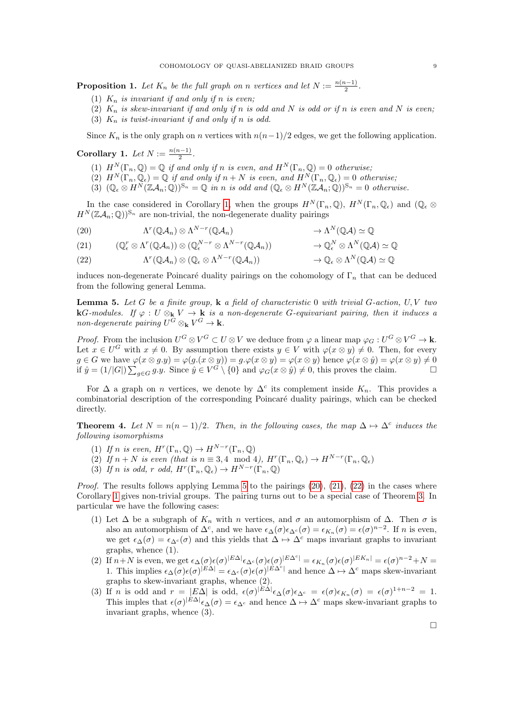**Proposition 1.** Let  $K_n$  be the full graph on n vertices and let  $N := \frac{n(n-1)}{2}$  $\frac{i-1)}{2}$ .

- (1)  $K_n$  is invariant if and only if n is even;
- (2)  $K_n$  is skew-invariant if and only if n is odd and N is odd or if n is even and N is even;
- (3)  $K_n$  is twist-invariant if and only if n is odd.

Since  $K_n$  is the only graph on n vertices with  $n(n-1)/2$  edges, we get the following application.

<span id="page-8-0"></span>Corollary 1. Let  $N := \frac{n(n-1)}{2}$  $\frac{i-1j}{2}$ .

- (1)  $H^N(\Gamma_n, \mathbb{Q}) = \mathbb{Q}$  if and only if n is even, and  $H^N(\Gamma_n, \mathbb{Q}) = 0$  otherwise;
- (2)  $H^N(\Gamma_n, \mathbb{Q}_\epsilon) = \mathbb{Q}$  if and only if  $n + N$  is even, and  $H^N(\Gamma_n, \mathbb{Q}_\epsilon) = 0$  otherwise;
- (3)  $(\mathbb{Q}_{\epsilon} \otimes H^N(\mathbb{Z} \mathcal{A}_n; \mathbb{Q}))^{\mathbb{S}_n} = \mathbb{Q}$  in n is odd and  $(\mathbb{Q}_{\epsilon} \otimes H^N(\mathbb{Z} \mathcal{A}_n; \mathbb{Q}))^{\mathbb{S}_n} = 0$  otherwise.

In the case considered in Corollary [1,](#page-8-0) when the groups  $H^N(\Gamma_n, \mathbb{Q})$ ,  $H^N(\Gamma_n, \mathbb{Q}_\epsilon)$  and  $(\mathbb{Q}_\epsilon \otimes$  $H^N(\mathbb{Z}A_n;\mathbb{Q})^{\mathbb{S}_n}$  are non-trivial, the non-degenerate duality pairings

<span id="page-8-2"></span>(20) 
$$
\Lambda^r(\mathbb{Q}A_n) \otimes \Lambda^{N-r}(\mathbb{Q}A_n) \longrightarrow \Lambda^N(\mathbb{Q}A) \simeq \mathbb{Q}
$$

<span id="page-8-3"></span>
$$
(21) \qquad (\mathbb{Q}_{\epsilon}^{r} \otimes \Lambda^{r}(\mathbb{Q}\mathcal{A}_{n})) \otimes (\mathbb{Q}_{\epsilon}^{N-r} \otimes \Lambda^{N-r}(\mathbb{Q}\mathcal{A}_{n})) \qquad \longrightarrow \mathbb{Q}_{\epsilon}^{N} \otimes \Lambda^{N}(\mathbb{Q}\mathcal{A}) \simeq \mathbb{Q}
$$

<span id="page-8-4"></span>(22)  $\Lambda^r(\mathbb{Q}\mathcal{A}_n) \otimes (\mathbb{Q}_{\epsilon} \otimes \Lambda^{N-r}(\mathbb{Q}\mathcal{A}_n)) \longrightarrow \mathbb{Q}_{\epsilon} \otimes \Lambda^N(\mathbb{Q}\mathcal{A}) \simeq \mathbb{Q}$  $(\mathbb{Q}\mathcal{A}_n))$   $\rightarrow \mathbb{Q}_{\epsilon} \otimes \Lambda$ 

induces non-degenerate Poincaré duality pairings on the cohomology of  $\Gamma_n$  that can be deduced from the following general Lemma.

<span id="page-8-1"></span>**Lemma 5.** Let G be a finite group,  $\bf{k}$  a field of characteristic 0 with trivial G-action,  $U, V$  two **k**G-modules. If  $\varphi : U \otimes_{\mathbf{k}} V \to \mathbf{k}$  is a non-degenerate G-equivariant pairing, then it induces a non-degenerate pairing  $U^G \otimes_{\mathbf{k}} V^G \to \mathbf{k}$ .

*Proof.* From the inclusion  $U^G \otimes V^G \subset U \otimes V$  we deduce from  $\varphi$  a linear map  $\varphi_G : U^G \otimes V^G \to \mathbf{k}$ . Let  $x \in U^G$  with  $x \neq 0$ . By assumption there exists  $y \in V$  with  $\varphi(x \otimes y) \neq 0$ . Then, for every  $g \in G$  we have  $\varphi(x \otimes g.y) = \varphi(g.(x \otimes y)) = g.\varphi(x \otimes y) = \varphi(x \otimes y)$  hence  $\varphi(x \otimes \hat{y}) = \varphi(x \otimes y) \neq 0$ if  $\hat{y} = (1/|G|) \sum_{g \in G} g.y$ . Since  $\hat{y} \in V^G \setminus \{0\}$  and  $\varphi_G(x \otimes \hat{y}) \neq 0$ , this proves the claim.

For  $\Delta$  a graph on *n* vertices, we denote by  $\Delta^c$  its complement inside  $K_n$ . This provides a combinatorial description of the corresponding Poincar´e duality pairings, which can be checked directly.

<span id="page-8-5"></span>**Theorem 4.** Let  $N = n(n-1)/2$ . Then, in the following cases, the map  $\Delta \mapsto \Delta^c$  induces the following isomorphisms

- (1) If n is even,  $H^r(\Gamma_n, \mathbb{Q}) \to H^{N-r}(\Gamma_n, \mathbb{Q})$
- (2) If  $n + N$  is even (that is  $n \equiv 3, 4 \mod 4$ ),  $H^r(\Gamma_n, \mathbb{Q}_{\epsilon}) \to H^{N-r}(\Gamma_n, \mathbb{Q}_{\epsilon})$
- (3) If n is odd, r odd,  $H^r(\Gamma_n, \mathbb{Q}_\epsilon) \to H^{N-r}(\Gamma_n, \mathbb{Q})$

*Proof.* The results follows applying Lemma [5](#page-8-1) to the pairings  $(20)$ ,  $(21)$ ,  $(22)$  in the cases where Corollary [1](#page-8-0) gives non-trivial groups. The pairing turns out to be a special case of Theorem [3.](#page-5-0) In particular we have the following cases:

- (1) Let  $\Delta$  be a subgraph of  $K_n$  with n vertices, and  $\sigma$  an automorphism of  $\Delta$ . Then  $\sigma$  is also an automorphism of  $\Delta^c$ , and we have  $\epsilon_{\Delta}(\sigma)\epsilon_{\Delta^c}(\sigma) = \epsilon_{K_n}(\sigma) = \epsilon(\sigma)^{n-2}$ . If n is even, we get  $\epsilon_{\Delta}(\sigma) = \epsilon_{\Delta}(\sigma)$  and this yields that  $\Delta \mapsto \Delta^c$  maps invariant graphs to invariant graphs, whence (1).
- (2) If  $n+N$  is even, we get  $\epsilon_{\Delta}(\sigma)\epsilon(\sigma)^{|E\Delta|}\epsilon_{\Delta^c}(\sigma)\epsilon(\sigma)^{|E\Delta^c|} = \epsilon_{K_n}(\sigma)\epsilon(\sigma)^{|E K_n|} = \epsilon(\sigma)^{n-2}+N$ 1. This implies  $\epsilon_{\Delta}(\sigma)\epsilon(\sigma)^{|E\Delta|} = \epsilon_{\Delta^c}(\sigma)\epsilon(\sigma)^{|E\Delta^c|}$  and hence  $\Delta \mapsto \Delta^c$  maps skew-invariant graphs to skew-invariant graphs, whence (2).
- (3) If *n* is odd and  $r = |E\Delta|$  is odd,  $\epsilon(\sigma)^{|E\Delta|} \epsilon_{\Delta}(\sigma) \epsilon_{\Delta^c} = \epsilon(\sigma) \epsilon_{K_n}(\sigma) = \epsilon(\sigma)^{1+n-2} = 1$ . This imples that  $\epsilon(\sigma)^{|E\Delta|}\epsilon_{\Delta}(\sigma) = \epsilon_{\Delta^c}$  and hence  $\Delta \mapsto \Delta^c$  maps skew-invariant graphs to invariant graphs, whence (3).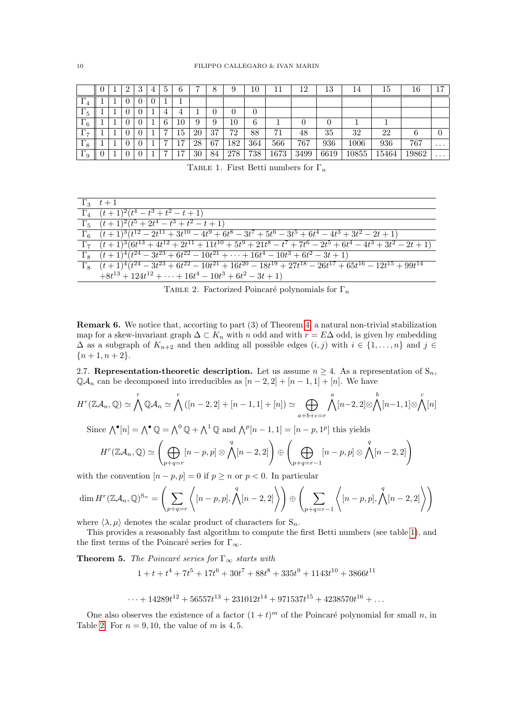|                            |  | ച        | 3        | 4 | $5^{\circ}$    | 6              | −  | 8  | 9   | 10  |      | 12   | 13   | 14       | 15    | 16    | $\overline{7}$ |
|----------------------------|--|----------|----------|---|----------------|----------------|----|----|-----|-----|------|------|------|----------|-------|-------|----------------|
| $\Gamma_4$                 |  | $\theta$ | $\theta$ |   |                |                |    |    |     |     |      |      |      |          |       |       |                |
| $\Gamma_5$                 |  | $\theta$ | 0        |   | 4              | 4              |    | 0  |     | 0   |      |      |      |          |       |       |                |
| г<br>16                    |  | $\theta$ |          |   | 6              | 10             | 9  | 9  | 10  | 6   |      | 0    |      |          |       |       |                |
| $\Gamma_7$<br>$\mathbf{L}$ |  | $\theta$ |          |   | $\overline{7}$ | Тp             | 20 | 37 | 72  | 88  | 71   | 48   | 35   | 32       | 22    | 6     |                |
| $\Gamma_8$                 |  | $\theta$ |          |   | $\overline{ }$ | $\overline{ }$ | 28 | 67 | 182 | 364 | 566  | 767  | 936  | $1006\,$ | 936   | 767   | $\cdots$       |
| $\Gamma_9$                 |  | $\theta$ |          |   | $\overline{ }$ | −              | 30 | 84 | 278 | 738 | 1673 | 3499 | 6619 | 10855    | 15464 | 19862 | $\cdots$       |

<span id="page-9-1"></span>TABLE 1. First Betti numbers for  $\Gamma_n$ 

| $\Gamma_3$ $t+1$                                                                                                    |
|---------------------------------------------------------------------------------------------------------------------|
| $\Gamma_4$ $(t+1)^2(t^4-t^3+t^2-t+1)$                                                                               |
| $\Gamma_5$ $(t+1)^2(t^5+2t^4-t^3+t^2-t+1)$                                                                          |
| $\Gamma_6 \quad (t+1)^3(t^{12}-2t^{11}+3t^{10}-4t^9+6t^8-3t^7+5t^6-3t^5+6t^4-4t^3+3t^2-2t+1)$                       |
| $\Gamma_7$ $(t+1)^3(6t^{13}+4t^{12}+2t^{11}+11t^{10}+5t^9+21t^8-t^7+7t^6-2t^5+6t^4-4t^3+3t^2-2t+1)$                 |
| $\Gamma_8$ $(t+1)^4(t^{24}-3t^{23}+6t^{22}-10t^{21}+\cdots+16t^4-10t^3+6t^2-3t+1)$                                  |
| $\Gamma_8$ $(t+1)^4(t^{24}-3t^{23}+6t^{22}-10t^{21}+16t^{20}-18t^{19}+27t^{18}-26t^{17}+65t^{16}-12t^{15}+99t^{14}$ |
| $+8t^{13} + 124t^{12} + \cdots + 16t^4 - 10t^3 + 6t^2 - 3t + 1$                                                     |

<span id="page-9-2"></span>TABLE 2. Factorized Poincaré polynomials for  $\Gamma_n$ 

**Remark 6.** We notice that, accorting to part (3) of Theorem 4, a natural non-trivial stabilization map for a skew-invariant graph  $\Delta \subset K_n$  with n odd and with  $r = E\Delta$  odd, is given by embedding  $\Delta$  as a subgraph of  $K_{n+2}$  and then adding all possible edges  $(i, j)$  with  $i \in \{1, ..., n\}$  and  $j \in$  ${n+1, n+2}.$ 

<span id="page-9-0"></span>2.7. Representation-theoretic description. Let us assume  $n \geq 4$ . As a representation of  $S_n$ ,  $\mathbb{Q}A_n$  can be decomposed into irreducibles as  $[n-2,2]+[n-1,1]+[n]$ . We have

$$
H^r(\mathbb{Z}A_n, \mathbb{Q}) \simeq \bigwedge^r \mathbb{Q}A_n \simeq \bigwedge^r \left( [n-2, 2] + [n-1, 1] + [n] \right) \simeq \bigoplus_{a+b+c=r} \bigwedge^a [n-2, 2] \otimes \bigwedge^b [n-1, 1] \otimes \bigwedge^c [n]
$$

Since 
$$
\bigwedge^{\bullet}[n] = \bigwedge^{\bullet} \mathbb{Q} = \bigwedge^0 \mathbb{Q} + \bigwedge^1 \mathbb{Q}
$$
 and  $\bigwedge^p[n-1,1] = [n-p,1^p]$  this yields  
\n
$$
H^r(\mathbb{Z}A_n, \mathbb{Q}) \simeq \left(\bigoplus_{p+q=r} [n-p, p] \otimes \bigwedge^q[n-2,2]\right) \oplus \left(\bigoplus_{p+q=r-1} [n-p, p] \otimes \bigwedge^q[n-2,2]\right)
$$

with the convention  $[n-p, p] = 0$  if  $p \ge n$  or  $p < 0$ . In particular

$$
\dim H^{r}(\mathbb{Z}A_{n},\mathbb{Q})^{S_{n}} = \left(\sum_{p+q=r} \left\langle [n-p,p], \bigwedge^{q}[n-2,2] \right\rangle \right) \oplus \left(\sum_{p+q=r-1} \left\langle [n-p,p], \bigwedge^{q}[n-2,2] \right\rangle \right)
$$

where  $\langle \lambda, \mu \rangle$  denotes the scalar product of characters for  $\mathbf{S}_n$ .

This provides a reasonably fast algorithm to compute the first Betti numbers (see table 1), and the first terms of the Poincaré series for  $\Gamma_{\infty}$ .

**Theorem 5.** The Poincaré series for  $\Gamma_{\infty}$  starts with

 $1 + t + t<sup>4</sup> + 7t<sup>5</sup> + 17t<sup>6</sup> + 30t<sup>7</sup> + 88t<sup>8</sup> + 335t<sup>9</sup> + 1143t<sup>10</sup> + 3866t<sup>11</sup>$ 

$$
\cdots + 14289t^{12} + 56557t^{13} + 231012t^{14} + 971537t^{15} + 4238570t^{16} + \dots
$$

One also observes the existence of a factor  $(1 + t)^m$  of the Poincaré polynomial for small n, in Table 2. For  $n = 9, 10$ , the value of m is 4, 5.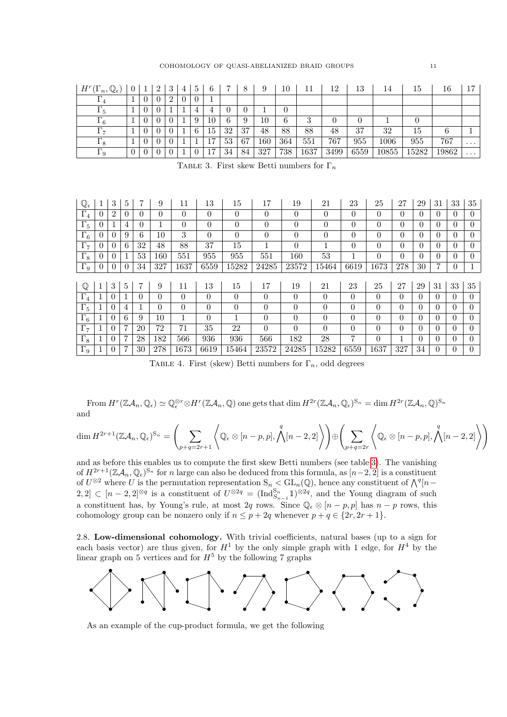| $H^r$<br>$\mathbb{Q}_{\epsilon}$<br>n,<br><b>T</b> | $\theta$ |                | 2 | 3 | 4        | 5 | 6           |    |    |              | 10  |      | 12   | 13   | 14    | 15    | 16    | 17       |
|----------------------------------------------------|----------|----------------|---|---|----------|---|-------------|----|----|--------------|-----|------|------|------|-------|-------|-------|----------|
| $\pm$ 4                                            |          | $\theta$       |   | 2 | $\theta$ |   |             |    |    |              |     |      |      |      |       |       |       |          |
| 15                                                 |          | $\theta$       |   |   |          |   | $\mathbf 4$ |    |    |              |     |      |      |      |       |       |       |          |
| г<br>16                                            |          | $\theta$       |   |   |          | 9 | 10          | 6  | Q  | $10^{\circ}$ | 6   | ച    |      | 0    |       |       |       |          |
| г<br>17                                            |          | $\theta$       |   |   |          | 6 | 15          | 32 | 37 | 48           | 88  | 88   | 48   | 37   | 32    | 15    |       |          |
| 18                                                 |          | $\theta$       |   |   |          |   | −<br>Tί     | 53 | 67 | $160\,$      | 364 | 551  | 767  | 955  | 1006  | 955   | 767   | $\cdots$ |
| $\Gamma_9$                                         | $\theta$ | $\overline{0}$ |   |   |          |   | −           | 34 | 84 | 327          | 738 | 1637 | 3499 | 6559 | 10855 | 15282 | 19862 | $\cdots$ |

<span id="page-10-1"></span>TABLE 3. First skew Betti numbers for  $\Gamma_n$ 

| $\mathbb{Q}_{\epsilon}$ | 1        | 3              | 5        | 7              | 9        | 11       | 13       | 15       | 17             | 19             | 21             | 23             | 25       | 27       | 29       | 31       | 33       | 35             |
|-------------------------|----------|----------------|----------|----------------|----------|----------|----------|----------|----------------|----------------|----------------|----------------|----------|----------|----------|----------|----------|----------------|
| $\Gamma_4$              | $\theta$ | $\overline{2}$ | $\theta$ | $\theta$       | $\theta$ | $\theta$ | $\Omega$ | $\Omega$ | $\theta$       | $\theta$       | $\overline{0}$ | $\theta$       | $\Omega$ | 0        | $\Omega$ | $\Omega$ | $\Omega$ | $\theta$       |
| $\Gamma_5$              |          |                | 4        | $\overline{0}$ |          | $\theta$ | $\theta$ | $\theta$ | $\theta$       | $\theta$       | 0              | $\theta$       | $\Omega$ | 0        | $\Omega$ | $\Omega$ | 0        | 0              |
| $\Gamma_6$              | $\Omega$ | $\overline{0}$ | 9        | 6              | 10       | 3        | $\theta$ | $\Omega$ | $\overline{0}$ | $\theta$       | $\overline{0}$ | $\theta$       | $\Omega$ | 0        | $\Omega$ | $\Omega$ | $\Omega$ | $\theta$       |
| $\Gamma_7$              | U        | 0              | 6        | 32             | 48       | 88       | 37       | 15       |                | $\overline{0}$ | T              | $\overline{0}$ | $\theta$ | 0        | $\theta$ | $\Omega$ | 0        | $\overline{0}$ |
| $\Gamma_8$              | $\Omega$ | 0              | 1        | 53             | 160      | 551      | 955      | 955      | 551            | 160            | 53             |                | $\Omega$ | 0        | $\Omega$ | $\Omega$ | $\Omega$ | $\theta$       |
| $\Gamma_9$              |          | 0              | $\theta$ | 34             | 327      | 1637     | 6559     | 15282    | 24285          | 23572          | 15464          | 6619           | 1673     | 278      | 30       |          | 0        |                |
|                         |          |                |          |                |          |          |          |          |                |                |                |                |          |          |          |          |          |                |
| $\mathbb Q$             |          | 3              | 5        | 7              | 9        | 11       | 13       | 15       | 17             | 19             | 21             | 23             | 25       | 27       | 29       | 31       | 33       | 35             |
| $\Gamma_4$              |          | 0              |          | 0              | $\theta$ | $\Omega$ | $\theta$ | $\Omega$ | $\theta$       | $\theta$       | $\theta$       | $\theta$       | $\theta$ | $\theta$ | $\Omega$ | $\Omega$ | $\Omega$ | $\Omega$       |
| $\Gamma_5$              |          | 0              | 4        | Ι.             | $\Omega$ | $\Omega$ | $\Omega$ | $\theta$ | $\theta$       | $\theta$       | $\theta$       | $\theta$       | $\theta$ | $\theta$ | $\theta$ | $\Omega$ | $\Omega$ | $\Omega$       |
| $\Gamma_6$              |          | $\theta$       | 6        | 9              | 10       |          | $\Omega$ | 1        | $\theta$       | $\theta$       | $\overline{0}$ | $\theta$       | $\theta$ | $\theta$ | $\theta$ | $\Omega$ | $\Omega$ | $\Omega$       |
| $\Gamma_7$              |          | $\theta$       | 7        | 20             | 72       | 71       | 35       | 22       | $\theta$       | $\theta$       | 0              | $\theta$       | $\theta$ | $\theta$ | $\Omega$ | $\Omega$ | $\Omega$ | $\Omega$       |
| $\Gamma_8$              |          | $\theta$       | 7        | 28             | 182      | 566      | 936      | 936      | 566            | 182            | 28             | 7              | $\theta$ |          | $\Omega$ | $\Omega$ | $\Omega$ | $\Omega$       |
| $\Gamma_9$              |          | $\theta$       | 7        | 30             | 278      | 1673     | 6619     | 15464    | 23572          | 24285          | 15282          | 6559           | 1637     | 327      | 34       | $\Omega$ | $\Omega$ | $\Omega$       |

TABLE 4. First (skew) Betti numbers for  $\Gamma_n$ , odd degrees

From  $H^r(\mathbb{Z}\mathcal{A}_n,\mathbb{Q}_\epsilon)\simeq \mathbb{Q}_\epsilon^{\otimes r} \otimes H^r(\mathbb{Z}\mathcal{A}_n,\mathbb{Q})$  one gets that  $\dim H^{2r}(\mathbb{Z}\mathcal{A}_n,\mathbb{Q}_\epsilon)^{\mathbb{S}_n} = \dim H^{2r}(\mathbb{Z}\mathcal{A}_n,\mathbb{Q})^{\mathbb{S}_n}$ and

$$
\dim H^{2r+1}(\mathbb{Z}\mathcal{A}_n,\mathbb{Q}_{\epsilon})^{S_n} = \left(\sum_{p+q=2r+1} \left\langle \mathbb{Q}_{\epsilon} \otimes [n-p,p], \bigwedge^q [n-2,2] \right\rangle \right) \oplus \left(\sum_{p+q=2r} \left\langle \mathbb{Q}_{\epsilon} \otimes [n-p,p], \bigwedge^q [n-2,2] \right\rangle \right)
$$

and as before this enables us to compute the first skew Betti numbers (see table [3\)](#page-10-1). The vanishing of  $H^{2r+1}(\mathbb{Z}A_n,\mathbb{Q}_\epsilon)^{\mathbb{S}_n}$  for n large can also be deduced from this formula, as  $[n-2,2]$  is a constituent of  $U^{\otimes 2}$  where U is the permutation representation  $S_n < GL_n(\mathbb{Q})$ , hence any constituent of  $\bigwedge^q [n-\mathbb{Q}]$ 2, 2] ⊂ [n − 2, 2]<sup>⊗q</sup> is a constituent of  $U^{\otimes 2q} = (\text{Ind}_{S_{n-1}}^{S_n} \mathbb{1})^{\otimes 2q}$ , and the Young diagram of such a constituent has, by Young's rule, at most 2q rows. Since  $\mathbb{Q}_{\epsilon} \otimes [n-p, p]$  has  $n-p$  rows, this cohomology group can be nonzero only if  $n \leq p + 2q$  whenever  $p + q \in \{2r, 2r + 1\}.$ 

<span id="page-10-0"></span>2.8. Low-dimensional cohomology. With trivial coefficients, natural bases (up to a sign for each basis vector) are thus given, for  $H^1$  by the only simple graph with 1 edge, for  $H^4$  by the linear graph on 5 vertices and for  $H^5$  by the following 7 graphs



As an example of the cup-product formula, we get the following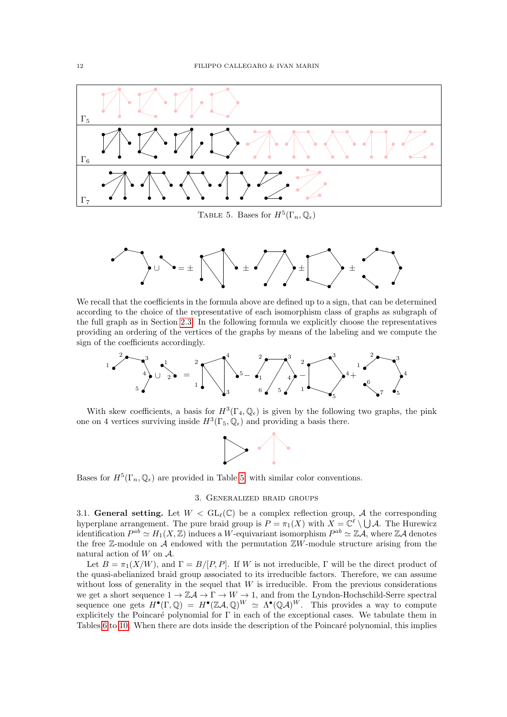

<span id="page-11-2"></span>TABLE 5. Bases for  $H^5(\Gamma_n, \mathbb{Q}_\epsilon)$ 



We recall that the coefficients in the formula above are defined up to a sign, that can be determined according to the choice of the representative of each isomorphism class of graphs as subgraph of the full graph as in Section [2.3.](#page-1-3) In the following formula we explicitly choose the representatives providing an ordering of the vertices of the graphs by means of the labeling and we compute the sign of the coefficients accordingly.



With skew coefficients, a basis for  $H^3(\Gamma_4, \mathbb{Q}_\epsilon)$  is given by the following two graphs, the pink one on 4 vertices surviving inside  $H^3(\Gamma_5, \mathbb{Q}_\epsilon)$  and providing a basis there.



Bases for  $H^5(\Gamma_n, \mathbb{Q}_\epsilon)$  are provided in Table [5,](#page-11-2) with similar color conventions.

## 3. Generalized braid groups

<span id="page-11-1"></span><span id="page-11-0"></span>3.1. General setting. Let  $W < GL_{\ell}(\mathbb{C})$  be a complex reflection group, A the corresponding hyperplane arrangement. The pure braid group is  $P = \pi_1(X)$  with  $X = \mathbb{C}^{\ell} \setminus \bigcup \mathcal{A}$ . The Hurewicz identification  $P^{ab} \simeq H_1(X,\mathbb{Z})$  induces a W-equivariant isomorphism  $P^{ab} \simeq \mathbb{Z}A$ , where  $\mathbb{Z}A$  denotes the free  $\mathbb{Z}$ -module on  $\mathcal A$  endowed with the permutation  $\mathbb{Z}W$ -module structure arising from the natural action of  $W$  on  $A$ .

Let  $B = \pi_1(X/W)$ , and  $\Gamma = B/[P, P]$ . If W is not irreducible,  $\Gamma$  will be the direct product of the quasi-abelianized braid group associated to its irreducible factors. Therefore, we can assume without loss of generality in the sequel that  $W$  is irreducible. From the previous considerations we get a short sequence  $1 \to \mathbb{Z} \mathcal{A} \to \Gamma \to W \to 1$ , and from the Lyndon-Hochschild-Serre spectral sequence one gets  $H^{\bullet}(\Gamma,\mathbb{Q}) = H^{\bullet}(\mathbb{Z}A,\mathbb{Q})^W \simeq \Lambda^{\bullet}(\mathbb{Q}A)^W$ . This provides a way to compute explicitely the Poincaré polynomial for  $\Gamma$  in each of the exceptional cases. We tabulate them in Tables [6](#page-12-1) to [10.](#page-16-0) When there are dots inside the description of the Poincaré polynomial, this implies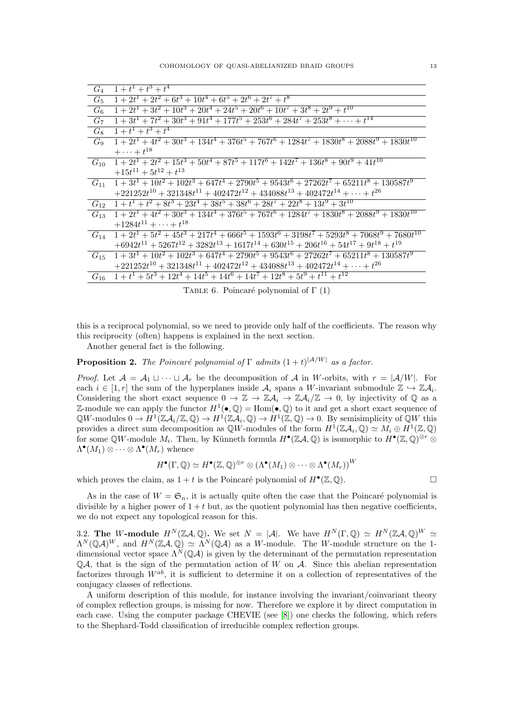| $G_4$    | $1+t^1+t^3+t^4$                                                                                       |
|----------|-------------------------------------------------------------------------------------------------------|
| $G_5$    | $1+2t^1+2t^2+6t^3+10t^4+6t^5+2t^6+2t^7+t^8$                                                           |
| $G_6$    | $1+2t^1+3t^2+10t^3+20t^4+24t^5+20t^6+10t^7+3t^8+2t^9+t^{10}$                                          |
| $G_7$    | $1+3t^1+7t^2+30t^3+91t^4+177t^5+253t^6+284t^7+253t^8+\cdots+t^{14}$                                   |
| $G_8$    | $1+t^1+t^3+t^4$                                                                                       |
| $G_{9}$  | $1+2t^1+4t^2+30t^3+134t^4+376t^5+767t^6+1284t^7+1830t^8+2088t^9+1830t^{10}$                           |
|          | $+\cdots+t^{18}$                                                                                      |
| $G_{10}$ | $1+2t^1+2t^2+15t^3+50t^4+87t^5+117t^6+142t^7+136t^8+90t^9+41t^{10}$                                   |
|          | $+15t^{11} + 5t^{12} + t^{13}$                                                                        |
| $G_{11}$ | $1+3t^1+10t^2+102t^3+647t^4+2790t^5+9543t^6+27262t^7+65211t^8+130587t^9$                              |
|          | $+221252t^{10}+321348t^{11}+402472t^{12}+434088t^{13}+402472t^{14}+\cdots+t^{26}$                     |
| $G_{12}$ | $1+t^1+t^2+8t^3+23t^4+38t^5+38t^6+28t^7+22t^8+13t^9+3t^{10}$                                          |
| $G_{13}$ | $1+2t^1+4t^2+30t^3+134t^4+376t^5+767t^6+1284t^7+1830t^8+2088t^9+1830t^{10}$                           |
|          | $+1284t^{11} + \cdots + t^{18}$                                                                       |
| $G_{14}$ | $1+2t^1+5t^2+45t^3+217t^4+666t^5+1593t^6+3198t^7+5293t^8+7068t^9+7680t^{10}$                          |
|          | $+6942 t^{11}+5267 t^{12}+3282 t^{13}+1617 t^{14}+630 t^{15}+206 t^{16}+54 t^{17}+9 t^{18}+t^{19} \\$ |
| $G_{15}$ | $1+3t^1+10t^2+102t^3+647t^4+2790t^5+9543t^6+27262t^7+65211t^8+130587t^9$                              |
|          | $+221252t^{10} + 321348t^{11} + 402472t^{12} + 434088t^{13} + 402472t^{14} + \cdots + t^{26}$         |
| $G_{16}$ | $1 + t1 + 5t3 + 12t4 + 14t5 + 14t6 + 14t7 + 12t8 + 5t9 + t11 + t12$                                   |

<span id="page-12-1"></span>TABLE 6. Poincaré polynomial of  $\Gamma$  (1)

this is a reciprocal polynomial, so we need to provide only half of the coefficients. The reason why this reciprocity (often) happens is explained in the next section.

Another general fact is the following.

**Proposition 2.** The Poincaré polynomial of  $\Gamma$  admits  $(1+t)^{|\mathcal{A}/W|}$  as a factor.

*Proof.* Let  $\mathcal{A} = \mathcal{A}_1 \sqcup \cdots \sqcup \mathcal{A}_r$  be the decomposition of  $\mathcal{A}$  in W-orbits, with  $r = |\mathcal{A}/W|$ . For each  $i \in [1, r]$  the sum of the hyperplanes inside  $A_i$  spans a W-invariant submodule  $\mathbb{Z} \hookrightarrow \mathbb{Z} A_i$ . Considering the short exact sequence  $0 \to \mathbb{Z} \to \mathbb{Z} \mathcal{A}_i \to \mathbb{Z} \mathcal{A}_i/\mathbb{Z} \to 0$ , by injectivity of  $\mathbb{Q}$  as a Z-module we can apply the functor  $H^1(\bullet, \mathbb{Q}) = \text{Hom}(\bullet, \mathbb{Q})$  to it and get a short exact sequence of  $\mathbb{Q}W$ -modules  $0 \to H^1(\mathbb{Z}A_i/\mathbb{Z},\mathbb{Q}) \to H^1(\mathbb{Z}A_i,\mathbb{Q}) \to H^1(\mathbb{Z},\mathbb{Q}) \to 0$ . By semisimplicity of  $\mathbb{Q}W$  this provides a direct sum decomposition as  $\mathbb{Q}W$ -modules of the form  $H^1(\mathbb{Z}\mathcal{A}_i,\mathbb{Q})\simeq M_i\oplus H^1(\mathbb{Z},\mathbb{Q})$ for some QW-module  $M_i$ . Then, by Künneth formula  $H^{\bullet}(\mathbb{Z}A,\mathbb{Q})$  is isomorphic to  $H^{\bullet}(\mathbb{Z},\mathbb{Q})^{\otimes r}$  $\Lambda^{\bullet}(M_1) \otimes \cdots \otimes \Lambda^{\bullet}(M_r)$  whence

$$
H^\bullet(\Gamma,\mathbb{Q})\simeq H^\bullet(\mathbb{Z},\mathbb{Q})^{\otimes r}\otimes \left(\Lambda^\bullet(M_1)\otimes \cdots \otimes \Lambda^\bullet(M_r)\right)^W
$$

which proves the claim, as  $1 + t$  is the Poincaré polynomial of  $H^{\bullet}(\mathbb{Z}, \mathbb{Q})$ .

As in the case of  $W = \mathfrak{S}_n$ , it is actually quite often the case that the Poincaré polynomial is divisible by a higher power of  $1+t$  but, as the quotient polynomial has then negative coefficients, we do not expect any topological reason for this.

<span id="page-12-0"></span>3.2. The W-module  $H^N(\mathbb{Z}A,\mathbb{Q})$ . We set  $N = |\mathcal{A}|$ . We have  $H^N(\Gamma,\mathbb{Q}) \simeq H^N(\mathbb{Z}A,\mathbb{Q})^W \simeq$  $\Lambda^N(\mathbb{Q}A)^W$ , and  $H^N(\mathbb{Z}A,\mathbb{Q})\simeq \Lambda^N(\mathbb{Q}A)$  as a W-module. The W-module structure on the 1dimensional vector space  $\Lambda^N(\mathbb{Q}A)$  is given by the determinant of the permutation representation  $\mathbb{Q}A$ , that is the sign of the permutation action of W on A. Since this abelian representation factorizes through  $W^{ab}$ , it is sufficient to determine it on a collection of representatives of the conjugacy classes of reflections.

A uniform description of this module, for instance involving the invariant/coinvariant theory of complex reflection groups, is missing for now. Therefore we explore it by direct computation in each case. Using the computer package CHEVIE (see [8]) one checks the following, which refers to the Shephard-Todd classification of irreducible complex reflection groups.

 $\Box$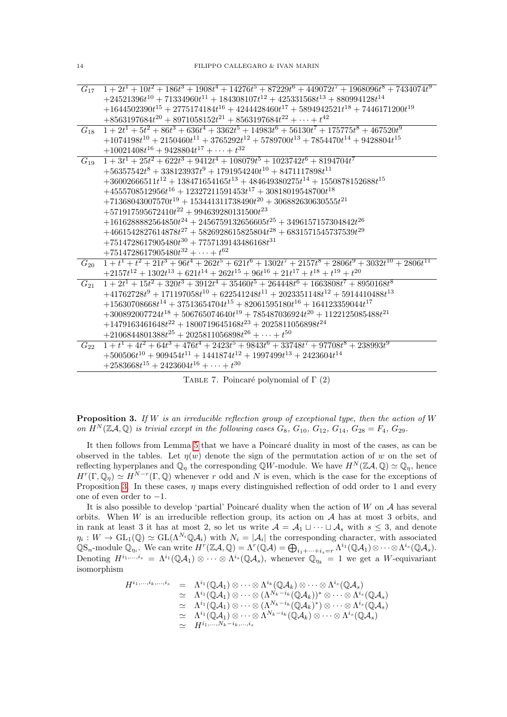|          | $G_{17}$ $1+2t^1+10t^2+186t^3+1908t^4+14276t^5+87229t^6+449072t^7+1968096t^8+7434074t^9$            |
|----------|-----------------------------------------------------------------------------------------------------|
|          | $+24521396t^{10} + 71334960t^{11} + 184308107t^{12} + 425331568t^{13} + 880994128t^{14}$            |
|          | $+1644502390t^{15}+2775174184t^{16}+4244428460t^{17}+5894942521t^{18}+7446171200t^{19}$             |
|          | $+8563197684t^{20} + 8971058152t^{21} + 8563197684t^{22} + \cdots + t^{42}$                         |
| $G_{18}$ | $1+2t^1+5t^2+86t^3+636t^4+3362t^5+14983t^6+56130t^7+175775t^8+467520t^9$                            |
|          | $+1074198t^{10} + 2150460t^{11} + 3765292t^{12} + 5789700t^{13} + 7854470t^{14} + 9428804t^{15}$    |
|          | $+10021408t^{16} + 9428804t^{17} + \cdots + t^{32}$                                                 |
| $G_{19}$ | $1+3t^1+25t^2+622t^3+9412t^4+108079t^5+1023742t^6+8194704t^7$                                       |
|          | $+56357542t^8 + 338123937t^9 + 1791954240t^{10} + 8471117898t^{11}$                                 |
|          | $+36002666511t^{12}+138471654165t^{13}+484649380275t^{14}+1550878152688t^{15}$                      |
|          | $+4555708512956t^{16} + 12327211591453t^{17} + 30818019548700t^{18}$                                |
|          | $+71368043007570t^{19} + 153441311738490t^{20} + 306882630630555t^{21}$                             |
|          | $+571917595672410t^{22} + 994639280131500t^{23}$                                                    |
|          | $+1616288882564850t^{24} + 2456759132656605t^{25} + 3496157157304842t^{26}$                         |
|          | $+4661542827614878t^27+5826928615825804t^28+6831571545737539t^29$                                   |
|          | $+7514728617905480t^{30} + 7757139143486168t^{31}$                                                  |
|          | $+7514728617905480t^{32} + \cdots + t^{62}$                                                         |
| $G_{20}$ | $1 + t1 + t2 + 21t3 + 96t4 + 262t5 + 621t6 + 1302t7 + 2157t8 + 2806t9 + 3032t10 + 2806t11$          |
|          | $+2157t^{12} + 1302t^{13} + 621t^{14} + 262t^{15} + 96t^{16} + 21t^{17} + t^{18} + t^{19} + t^{20}$ |
| $G_{21}$ | $1 + 2t1 + 15t2 + 320t3 + 3912t4 + 35460t5 + 264448t6 + 1663808t7 + 8950168t8$                      |
|          | $+41762728t^9+171197058t^{10}+622541248t^{11}+2023351148t^{12}+5914410488t^{13}$                    |
|          | $+15630708668t^{14}+37513654704t^{15}+82061595180t^{16}+164123359044t^{17}$                         |
|          | $+300892007724t^{18} + 506765074640t^{19} + 785487036924t^{20} + 1122125085488t^{21}$               |
|          | $+1479163461648t^{22} + 1800719645168t^{23} + 2025811056898t^{24}$                                  |
|          | $+2106844801388t^{25} + 2025811056898t^{26} + \cdots + t^{50}$                                      |
| $G_{22}$ | $1 + t1 + 4t2 + 64t3 + 476t4 + 2423t5 + 9843t6 + 33748t7 + 97708t8 + 238993t9$                      |
|          | $+500506t^{10} + 909454t^{11} + 1441874t^{12} + 1997499t^{13} + 2423604t^{14}$                      |
|          | $+2583668t^{15}+2423604t^{16}+\cdots+t^{30}$                                                        |
|          |                                                                                                     |

TABLE 7. Poincaré polynomial of  $\Gamma$  (2)

<span id="page-13-0"></span>**Proposition 3.** If W is an irreducible reflection group of exceptional type, then the action of W on  $H^N(\mathbb{Z}A,\mathbb{Q})$  is trivial except in the following cases  $G_8, G_{10}, G_{12}, G_{14}, G_{28} = F_4, G_{29}$ .

It then follows from Lemma 5 that we have a Poincaré duality in most of the cases, as can be observed in the tables. Let  $\eta(w)$  denote the sign of the permutation action of w on the set of reflecting hyperplanes and  $\mathbb{Q}_\eta$  the corresponding QW-module. We have  $H^N(\mathbb{Z}A,\mathbb{Q})\simeq \mathbb{Q}_\eta$ , hence  $H^r(\Gamma,\mathbb{Q}_n) \simeq H^{N-r}(\Gamma,\mathbb{Q})$  whenever r odd and N is even, which is the case for the exceptions of Proposition 3. In these cases,  $\eta$  maps every distinguished reflection of odd order to 1 and every one of even order to  $-1$ .

It is also possible to develop 'partial' Poincaré duality when the action of  $W$  on  $A$  has several orbits. When W is an irreducible reflection group, its action on  $A$  has at most 3 orbits, and in rank at least 3 it has at most 2, so let us write  $A = A_1 \sqcup \cdots \sqcup A_s$  with  $s \leq 3$ , and denote  $\eta_i: W \to GL_1(\mathbb{Q}) \simeq GL(\Lambda^{N_i} \mathbb{Q} A_i)$  with  $N_i = |\mathcal{A}_i|$  the corresponding character, with associated  $\mathbb{Q}S_n$ -module  $\mathbb{Q}_{\eta_i}$ . We can write  $H^r(\mathbb{Z}\mathcal{A},\mathbb{Q}) = \Lambda^r(\mathbb{Q}\mathcal{A}) = \bigoplus_{i_1+\cdots+i_s=r} \Lambda^{i_1}(\mathbb{Q}\mathcal{A}_1) \otimes \cdots \otimes \Lambda^{i_s}(\mathbb{Q}\mathcal{A}_s)$ .<br>Denoting  $H^{i_1,\ldots,i_s} = \Lambda^{i_1}(\mathbb{Q}\mathcal{A}_1) \otimes \cdots \otimes \Lambda^{i_s}(\mathbb{Q}\mathcal{A}_s)$ , isomorphism

$$
\begin{array}{rcl} H^{i_1,...,i_k,...,i_s}&=&\Lambda^{i_1}(\mathbb Q\mathcal A_1)\otimes\cdots\otimes\Lambda^{i_k}(\mathbb Q\mathcal A_k)\otimes\cdots\otimes\Lambda^{i_s}(\mathbb Q\mathcal A_s)\\&\simeq&\Lambda^{i_1}(\mathbb Q\mathcal A_1)\otimes\cdots\otimes(\Lambda^{N_k-i_k}(\mathbb Q\mathcal A_k))^*\otimes\cdots\otimes\Lambda^{i_s}(\mathbb Q\mathcal A_s)\\&\simeq&\Lambda^{i_1}(\mathbb Q\mathcal A_1)\otimes\cdots\otimes(\Lambda^{N_k-i_k}(\mathbb Q\mathcal A_k)^*)\otimes\cdots\otimes\Lambda^{i_s}(\mathbb Q\mathcal A_s)\\&\simeq&\Lambda^{i_1}(\mathbb Q\mathcal A_1)\otimes\cdots\otimes\Lambda^{N_k-i_k}(\mathbb Q\mathcal A_k)\otimes\cdots\otimes\Lambda^{i_s}(\mathbb Q\mathcal A_s)\\&\simeq&H^{i_1,...,N_k-i_k,...,i_s}\end{array}
$$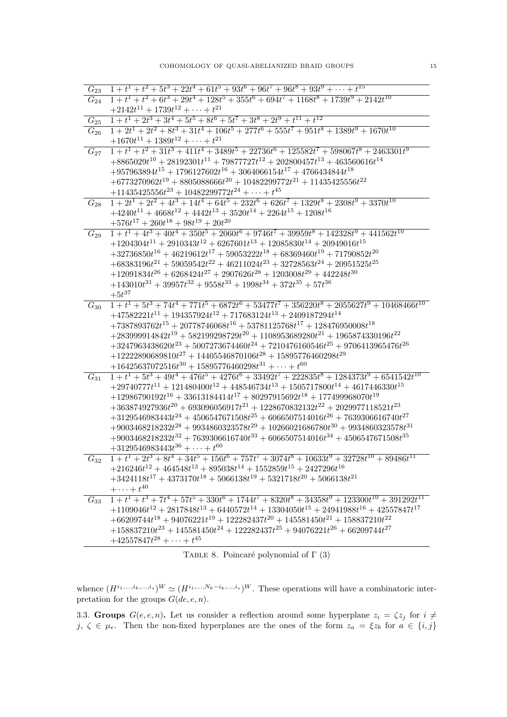| $G_{23}$ | $1 + t1 + t2 + 5t3 + 22t4 + 61t5 + 93t6 + 96t7 + 96t8 + 93t9 + \cdots + t15$                                                                                             |
|----------|--------------------------------------------------------------------------------------------------------------------------------------------------------------------------|
| $G_{24}$ | $1 + t1 + t2 + 6t3 + 29t4 + 128t5 + 355t6 + 694t7 + 1168t8 + 1739t9 + 2142t10$                                                                                           |
|          | $+2142t^{11} + 1739t^{12} + \cdots + t^{21}$                                                                                                                             |
| $G_{25}$ | $1 + t1 + 2t3 + 3t4 + 5t5 + 8t6 + 5t7 + 3t8 + 2t9 + t11 + t12$                                                                                                           |
| $G_{26}$ | $1+2t^1+2t^2+8t^3+31t^4+106t^5+277t^6+555t^7+951t^8+1389t^9+1670t^{10}$                                                                                                  |
|          | $+1670t^{11} + 1389t^{12} + \cdots + t^{21}$                                                                                                                             |
| $G_{27}$ | $1 + t1 + t2 + 31t3 + 411t4 + 3489t5 + 22736t6 + 125582t7 + 598067t8 + 2463301t9$                                                                                        |
|          | $+8865029t^{10} + 28192301t^{11} + 79877727t^{12} + 202800457t^{13} + 463560616t^{14}$                                                                                   |
|          | $+957963894t^{15} + 1796127602t^{16} + 3064066154t^{17} + 4766434844t^{18}$                                                                                              |
|          | $+6773270962t^{19} + 8805088666t^{20} + 10482299772t^{21} + 11435425556t^{22}$                                                                                           |
|          | $+11435425556t^{23} + 10482299772t^{24} + \cdots + t^{45}$                                                                                                               |
| $G_{28}$ | $1+2t^1+2t^2+4t^3+14t^4+64t^5+232t^6+626t^7+1329t^8+2308t^9+3370t^{10}$                                                                                                  |
|          | $+4240t^{11} + 4668t^{12} + 4442t^{13} + 3520t^{14} + 2264t^{15} + 1208t^{16}$                                                                                           |
|          | $+576t^{17} + 260t^{18} + 98t^{19} + 20t^{20}$                                                                                                                           |
| $G_{29}$ | $1 + t1 + 4t3 + 40t4 + 350t5 + 2060t6 + 9746t7 + 39959t8 + 142328t9 + 441562t10$                                                                                         |
|          | $+1204304t^{11} + 2910343t^{12} + 6267601t^{13} + 12085830t^{14} + 20949016t^{15}$                                                                                       |
|          | $+32736850t^{16} + 46219612t^{17} + 59053222t^{18} + 68369460t^{19} + 71790852t^{20}$                                                                                    |
|          | $+68383196t^{21} + 59059542t^{22} + 46211024t^{23} + 32728563t^{24} + 20951525t^{25}$                                                                                    |
|          | $+12091834t^{26} + 6268424t^{27} + 2907626t^{28} + 1203008t^{29} + 442248t^{30}$                                                                                         |
|          | $+143010t^{31} + 39957t^{32} + 9558t^{33} + 1998t^{34} + 372t^{35} + 57t^{36}$                                                                                           |
|          | $+5t^{37}$                                                                                                                                                               |
| $G_{30}$ | $1 + t1 + 5t3 + 74t4 + 771t5 + 6872t6 + 53477t7 + 356220t8 + 2055627t9 + 10468466t10$                                                                                    |
|          | $+47582221t^{11} + 194357924t^{12} + 717683124t^{13} + 2409187294t^{14}$                                                                                                 |
|          | $+7387893762t^{15} + 20778746068t^{16} + 53781125768t^{17} + 128476950008t^{18}$                                                                                         |
|          | $+283999914842t^{19} + 582199298729t^{20} + 1108953689280t^{21} + 1965874330196t^{22}$                                                                                   |
|          | $+3247963438620t^{23}+5007273674460t^{24}+7210476160546t^{25}+9706413965476t^{26}$                                                                                       |
|          | $+12222890689810t^{27} + 14405546870106t^{28} + 15895776460298t^{29}$                                                                                                    |
|          | $+16425637072516t^{30} + 15895776460298t^{31} + \cdots + t^{60}$                                                                                                         |
| $G_{31}$ | $1 + t1 + 5t3 + 49t4 + 476t5 + 4276t6 + 33492t7 + 222835t8 + 1284373t9 + 6541542t10$                                                                                     |
|          | $+29740777t^{11}+121480400t^{12}+448546734t^{13}+1505717800t^{14}+4617446330t^{15}$<br>$+12986790192t^{16} + 33613184414t^{17} + 80297915692t^{18} + 177499968070t^{19}$ |
|          | $+363874927936t^{20} + 693096056917t^{21} + 1228670832132t^{22} + 2029977118521t^{23}$                                                                                   |
|          | $+3129546983443t^{24} + 4506547671508t^{25} + 6066507514016t^{26} + 7639306616740t^{27}$                                                                                 |
|          | $+9003468218232t^{28}+9934860323578t^{29}+10266021686780t^{30}+9934860323578t^{31}$                                                                                      |
|          | $+9003468218232t^{32} + 7639306616740t^{33} + 6066507514016t^{34} + 4506547671508t^{35}$                                                                                 |
|          | $+3129546983443t^{36}+\cdots+t^{60}$                                                                                                                                     |
| $G_{32}$ | $1 + t1 + 2t3 + 8t4 + 34t5 + 156t6 + 757t7 + 3074t8 + 10633t9 + 32728t10 + 89486t11$                                                                                     |
|          | $+216246t^{12} + 464548t^{13} + 895038t^{14} + 1552859t^{15} + 2427296t^{16}$                                                                                            |
|          | $+3424118t^{17} + 4373170t^{18} + 5066138t^{19} + 5321718t^{20} + 5066138t^{21}$                                                                                         |
|          | $+\cdots+t^{40}$                                                                                                                                                         |
|          | $G_{33}$ $1 + t^{1} + t^{3} + 7t^{4} + 57t^{5} + 330t^{6} + 1744t^{7} + 8320t^{8} + 34358t^{9} + 123300t^{10} + 391292t^{11}$                                            |
|          | $+1109046t^{12} + 2817848t^{13} + 6440572t^{14} + 13304050t^{15} + 24941988t^{16} + 42557847t^{17}$                                                                      |
|          | $+66209744t^{18} + 94076221t^{19} + 122282437t^{20} + 145581450t^{21} + 158837210t^{22}$                                                                                 |
|          | $+158837210t^{23} + 145581450t^{24} + 122282437t^{25} + 94076221t^{26} + 66209744t^{27}$                                                                                 |
|          | $+42557847t^{28}+\cdots+t^{45}$                                                                                                                                          |

TABLE 8. Poincaré polynomial of  $\Gamma$  (3)

whence  $(H^{i_1,...,i_k,...,i_s})^W \simeq (H^{i_1,...,N_k-i_k,...,i_s})^W$ . These operations will have a combinatoric interpretation for the groups  $G(de, e, n)$ .

<span id="page-14-0"></span>3.3. **Groups**  $G(e, e, n)$ . Let us consider a reflection around some hyperplane  $z_i = \zeta z_j$  for  $i \neq j$ ,  $\zeta \in \mu_e$ . Then the non-fixed hyperplanes are the ones of the form  $z_a = \xi z_b$  for  $a \in \{i, j\}$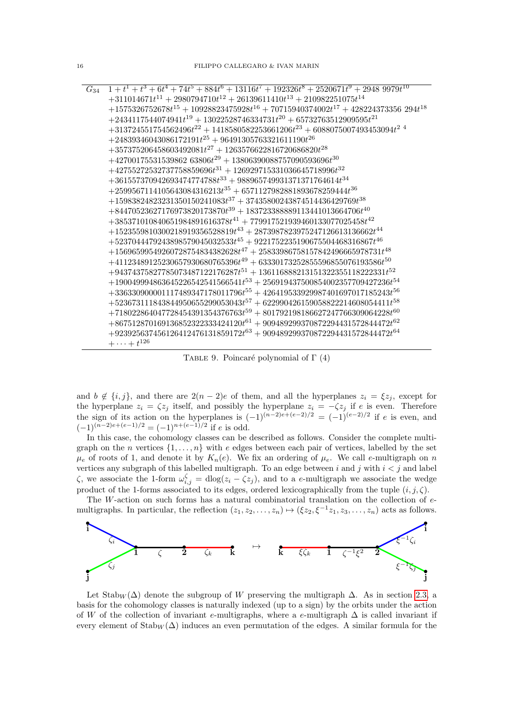| $G_{34}$ | $1 + t^{1} + t^{3} + 6t^{4} + 74t^{5} + 884t^{6} + 13116t^{7} + 192326t^{8} + 2520671t^{9} + 29489979t^{10}$ |
|----------|--------------------------------------------------------------------------------------------------------------|
|          | $+311014671t^{11} + 2980794710t^{12} + 26139611410t^{13} + 210982251075t^{14}$                               |
|          | $+1575326752678t^{15}+10928823475928t^{16}+70715940374002t^{17}+428224373356294t^{18}$                       |
|          | $+2434117544074941t^{19}+13022528746334731t^{20}+65732763512909595t^{21} \\$                                 |
|          | $+313724551754562496t^{22}+1418580582253661206t^{23}+6088075007493453094t^{24}$                              |
|          | $+24839346043086172191t^{25} + 96491305763321611190t^{26}$                                                   |
|          | $+357375206458603492081t^{27} + 1263576622816720686820t^{28}$                                                |
|          | $+42700175531539862$ 63806 $t^{29}$ + 13806390088757090593696 $t^{30}$                                       |
|          | $+42755272532737758859696t^{31} +126929715331036645718996t^{32}$                                             |
|          | $+361557370942693474774788t^{33} + 988965749931371371764614t^{34}$                                           |
|          | $+2599567114105643084316213t^{35}+6571127982881893678259444t^{36}$                                           |
|          | $+15983824823231350150241083t^{37}+37435800243874514436429769t^{38}$                                         |
|          | $+84470523627176973820173870t^{39} + 183723388889113441013664706t^{40}$                                      |
|          | $+385371010840651984891616378t^{41}+779917521939460133077025458t^{42}$                                       |
|          | $+1523559810300218919356528819t^{43}+2873987823975247126613136662t^{44}$                                     |
|          | $+5237044479243898579045032533t^{45} + 9221752235190675504468316867t^{46}$                                   |
|          | $+15696599549260728754834382628t^{47}+25833986758157842496665978731t^{48}$                                   |
|          | $+41123489125230657930680765396t^{49} + 63330173252855596855076193586t^{50}$                                 |
|          | $+94374375827785073487122176287t^{51} + 136116888213151322355118222331t^{52}$                                |
|          | $+190049994863645226542541566541t^{53}+256919437500854002357709427236t^{54}$                                 |
|          | $+336330900001117489347178011796t^{55} +426419533929987401697017185243t^{56}$                                |
|          | $+523673111843844950655299053043t^{57} + 622990426159058822214608054411t^{58}$                               |
|          | $+718022864047728454391354376763t^{59}+801792198186627247766309064228t^{60}$                                 |
|          | $+867512870169136852322333424120t^{61}+909489299370872294431572844472t^{62}$                                 |
|          | $+923925637456126412476131859172t^{63}+909489299370872294431572844472t^{64}$                                 |
|          | $+\cdots+t^{126}$                                                                                            |
|          |                                                                                                              |

TABLE 9. Poincaré polynomial of  $\Gamma$  (4)

and  $b \notin \{i, j\}$ , and there are  $2(n-2)e$  of them, and all the hyperplanes  $z_i = \xi z_j$ , except for<br>the hyperplane  $z_i = \zeta z_j$  itself, and possibly the hyperplane  $z_i = -\zeta z_j$  if  $e$  is even. Therefore<br>the sign of its action on

In this case, the cohomology classes can be described as follows. Consider the complete multigraph on the *n* vertices  $\{1, \ldots, n\}$  with *e* edges between each pair of vertices, labelled by the set  $\mu_e$  of roots of 1, and denote it by  $K_n(e)$ . We fix an ordering of  $\mu_e$ . We call e-multigraph on n vertices any subgraph of this labelled multigraph. To an edge between  $i$  and  $j$  with  $i < j$  and label  $\zeta$ , we associate the 1-form  $\omega_{i,j}^{\zeta} = \text{dlog}(z_i - \zeta z_j)$ , and to a e-multigraph we associate the wedge product of the 1-forms associated to its edges, ordered lexicographically from the tuple  $(i, j, \zeta)$ .

The W-action on such forms has a natural combinatorial translation on the collection of  $e$ multigraphs. In particular, the reflection  $(z_1, z_2, \ldots, z_n) \mapsto (\xi z_2, \xi^{-1} z_1, z_3, \ldots, z_n)$  acts as follows.



Let  $\text{Stab}_W(\Delta)$  denote the subgroup of W preserving the multigraph  $\Delta$ . As in section 2.3, a basis for the cohomology classes is naturally indexed (up to a sign) by the orbits under the action of W of the collection of invariant e-multigraphs, where a e-multigraph  $\Delta$  is called invariant if every element of  $Stab_W(\Delta)$  induces an even permutation of the edges. A similar formula for the

 $16\,$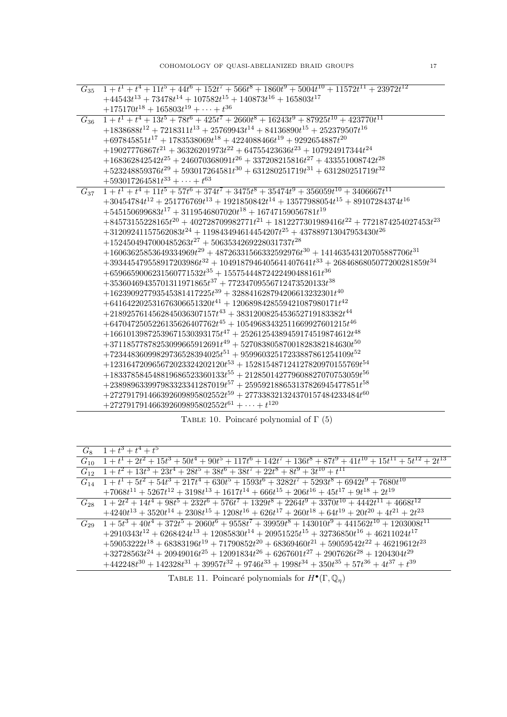$+442248t^{30} + 142328t^{31} + 39957t^{32} + 9746t^{33} + 1998t^{34} + 350t^{35} + 57t^{36} + 4t^{37} + t^{36}$ 

TABLE 11. Poincaré polynomials for  $H^{\bullet}(\Gamma, \mathbb{Q}_\eta)$ 

| $G_8$ $1+t^3+t^4+t^5$                                                                                                  |
|------------------------------------------------------------------------------------------------------------------------|
| $G_{10}$ $1+t^1+2t^2+15t^3+50t^4+90t^5+117t^6+142t^7+136t^8+87t^9+41t^{10}+15t^{11}+5t^{12}+2t^{13}$                   |
| $G_{12}$ $1+t^2+13t^3+23t^4+28t^5+38t^6+38t^7+22t^8+8t^9+3t^{10}+t^{11}$                                               |
| $G_{14}$ $1+t^1+5t^2+54t^3+217t^4+630t^5+1593t^6+3282t^7+5293t^8+6942t^9+7680t^{10}$                                   |
| $+7068t^{11}+5267t^{12}+3198t^{13}+1617t^{14}+666t^{15}+206t^{16}+45t^{17}+9t^{18}+2t^{19}$                            |
| $G_{28}$ $1+2t^2+14t^4+98t^5+232t^6+576t^7+1329t^8+2264t^9+3370t^{10}+4442t^{11}+4668t^{12}$                           |
| $+4240t^{13} + 3520t^{14} + 2308t^{15} + 1208t^{16} + 626t^{17} + 260t^{18} + 64t^{19} + 20t^{20} + 4t^{21} + 2t^{23}$ |
| $G_{29}$ $1+5t^3+40t^4+372t^5+2060t^6+9558t^7+39959t^8+143010t^9+441562t^{10}+1203008t^{11}$                           |
| $+2910343t^{12} + 6268424t^{13} + 12085830t^{14} + 20951525t^{15} + 32736850t^{16} + 46211024t^{17}$                   |
| $+59053222t^{18} + 68383196t^{19} + 71790852t^{20} + 68369460t^{21} + 59059542t^{22} + 46219612t^{23}$                 |
| $+32728563t^{24}+20949016t^{25}+12091834t^{26}+6267601t^{27}+2907626t^{28}+1204304t^{29}$                              |
| $(1449949430 + 149999431 + 90057432 + 0746433 + 1009434 + 950435 + 57436 + 4437 + 439$                                 |

<span id="page-16-0"></span>TABLE 10. Poincaré polynomial of  $\Gamma$  (5)

| $G_{35}$ | $1 + t1 + t4 + 11t5 + 44t6 + 152t7 + 566t8 + 1860t9 + 5004t10 + 11572t11 + 23972t12$              |
|----------|---------------------------------------------------------------------------------------------------|
|          | $+44543t^{13} + 73478t^{14} + 107582t^{15} + 140873t^{16} + 165803t^{17}$                         |
|          | $+175170t^{18} + 165803t^{19} + \cdots + t^{36}$                                                  |
| $G_{36}$ | $1 + t1 + t4 + 13t5 + 78t6 + 425t7 + 2660t8 + 16243t9 + 87925t10 + 423770t11$                     |
|          | $+1838688t^{12} + 7218311t^{13} + 25769943t^{14} + 84136890t^{15} + 252379507t^{16}$              |
|          | $+697845851t^{17}+1783538069t^{18}+4224088466t^{19}+9292654887t^{20}$                             |
|          | $+19027776867t^{21}+36326201973t^{22}+64755423636t^{23}+107924917344t^{24}$                       |
|          | $+168362842542t^{25} + 246070368091t^{26} + 337208215816t^{27} + 433551008742t^{28}$              |
|          | $+523248859376t^{29} + 593017264581t^{30} + 631280251719t^{31} + 631280251719t^{32}$              |
|          | $+593017264581t^{33} + \cdots + t^{63}$                                                           |
| $G_{37}$ | $1 + t1 + t4 + 11t5 + 57t6 + 374t7 + 3475t8 + 35474t9 + 356059t10 + 3406667t11$                   |
|          | $+30454784t^{12}+251776769t^{13}+1921850842t^{14}+13577988054t^{15}+89107284374t^{16}$            |
|          | $+545150699683t^{17} + 3119546807020t^{18} + 16747159056781t^{19}$                                |
|          | $+84573155228165t^{20} + 402728709982771t^{21} + 1812277301989416t^{22} + 7721874254027453t^{23}$ |
|          | $+31209241157562083t^{24} + 119843494614454207t^{25} + 437889713047953430t^{26}$                  |
|          | $+1524504947000485263t^{27}+5063534269228031737t^{28}$                                            |
|          | $+16063625853649334969t^{29}+48726331566332592976t^{30}+141463543120705887706t^{31}$              |
|          | $+393445479558917203986t^{32} + 1049187946405641407641t^{33} + 2684686805077200281859t^{34}$      |
|          | $+6596659006231560771532t^{35}+15575444872422490488161t^{36}$                                     |
|          | $+35360469435701311971865t^{37} + 77234709556712473520133t^{38}$                                  |
|          | $+162390927793545381417225t^{39} + 328841628794206613232301t^{40}$                                |
|          | $+641642202531676306651320t^{41}+1206898428559421087980171t^{42}$                                 |
|          | $+2189257614562845036307157t^{43}+3831200825453652719183382t^{44}$                                |
|          | $+6470472505226135626407762t^{45} + 10549683432511669927601215t^{46}$                             |
|          | $+16610139872539671530393175t^{47} + 25261254389459174519874612t^{48}$                            |
|          | $+37118577878253099665912691t^{49} + 52708380587001828382184630t^{50}$                            |
|          | $+72344836099829736528394025t^{51} + 95996032517233887861254109t^{52}$                            |
|          | $+123164720965672023324202120t^{53} + 152815487124127820970155769t^{54}$                          |
|          | $+183378584548819686523360133t^{55} + 212850142779608827070753059t^{56}$                          |
|          | $+238989633997983323341287019t^{57}+259592188653137826945477851t^{58}$                            |
|          | $+272791791466392609895802552t^{59}+277338321324370157484233484t^{60}$                            |
|          | $+272791791466392609895802552t^{61} + \cdots + t^{120}$                                           |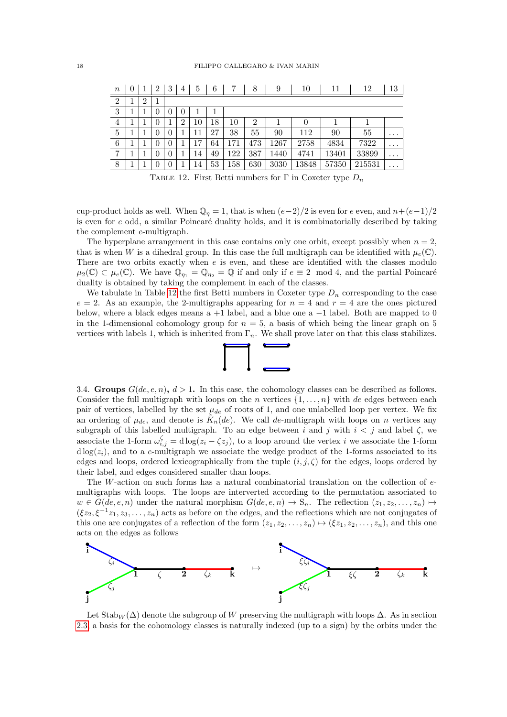| $\it{n}$       |   | 2        | 3 | 4              | 5      | 6  |     | 8              | 9    | 10    | 11    | 12     | 13       |
|----------------|---|----------|---|----------------|--------|----|-----|----------------|------|-------|-------|--------|----------|
| $\overline{2}$ | റ |          |   |                |        |    |     |                |      |       |       |        |          |
| 3              |   | 0        | 0 | U              |        |    |     |                |      |       |       |        |          |
| $\overline{4}$ |   | $\theta$ |   | $\overline{2}$ | $10\,$ | 18 | 10  | $\overline{2}$ |      | 0     |       |        |          |
| 5              |   | 0        | 0 |                | 11     | 27 | 38  | 55             | 90   | 112   | 90    | 55     | $\cdots$ |
| 6              |   | 0        | 0 |                | 17     | 64 | 171 | 473            | 1267 | 2758  | 4834  | 7322   | $\cdots$ |
| $\overline{7}$ |   | 0        | 0 |                | 14     | 49 | 122 | 387            | 1440 | 4741  | 13401 | 33899  | $\cdots$ |
| 8              |   | $\theta$ | 0 |                | 14     | 53 | 158 | 630            | 3030 | 13848 | 57350 | 215531 | $\cdots$ |

<span id="page-17-1"></span>TABLE 12. First Betti numbers for Γ in Coxeter type  $D_n$ 

cup-product holds as well. When  $\mathbb{Q}_n = 1$ , that is when  $(e-2)/2$  is even for e even, and  $n+(e-1)/2$ is even for  $e$  odd, a similar Poincaré duality holds, and it is combinatorially described by taking the complement e-multigraph.

The hyperplane arrangement in this case contains only one orbit, except possibly when  $n = 2$ , that is when W is a dihedral group. In this case the full multigraph can be identified with  $\mu_e(\mathbb{C})$ . There are two orbits exactly when  $e$  is even, and these are identified with the classes modulo  $\mu_2(\mathbb{C}) \subset \mu_e(\mathbb{C})$ . We have  $\mathbb{Q}_{\eta_1} = \mathbb{Q}_{\eta_2} = \mathbb{Q}$  if and only if  $e \equiv 2 \mod 4$ , and the partial Poincaré duality is obtained by taking the complement in each of the classes.

We tabulate in Table [12](#page-17-1) the first Betti numbers in Coxeter type  $D_n$  corresponding to the case  $e = 2$ . As an example, the 2-multigraphs appearing for  $n = 4$  and  $r = 4$  are the ones pictured below, where a black edges means a  $+1$  label, and a blue one a  $-1$  label. Both are mapped to 0 in the 1-dimensional cohomology group for  $n = 5$ , a basis of which being the linear graph on 5 vertices with labels 1, which is inherited from  $\Gamma_n$ . We shall prove later on that this class stabilizes.



<span id="page-17-0"></span>3.4. Groups  $G(de, e, n)$ ,  $d > 1$ . In this case, the cohomology classes can be described as follows. Consider the full multigraph with loops on the n vertices  $\{1, \ldots, n\}$  with de edges between each pair of vertices, labelled by the set  $\mu_{de}$  of roots of 1, and one unlabelled loop per vertex. We fix an ordering of  $\mu_{de}$ , and denote is  $\tilde{K}_n(de)$ . We call de-multigraph with loops on n vertices any subgraph of this labelled multigraph. To an edge between i and j with  $i < j$  and label  $\zeta$ , we associate the 1-form  $\omega_{i,j}^{\zeta} = d \log(z_i - \zeta z_j)$ , to a loop around the vertex i we associate the 1-form  $d \log(z_i)$ , and to a e-multigraph we associate the wedge product of the 1-forms associated to its edges and loops, ordered lexicographically from the tuple  $(i, j, \zeta)$  for the edges, loops ordered by their label, and edges considered smaller than loops.

The W-action on such forms has a natural combinatorial translation on the collection of emultigraphs with loops. The loops are interverted according to the permutation associated to  $w \in G(de, e, n)$  under the natural morphism  $G(de, e, n) \to S_n$ . The reflection  $(z_1, z_2, \ldots, z_n) \mapsto$  $(\xi z_2, \xi^{-1} z_1, z_3, \ldots, z_n)$  acts as before on the edges, and the reflections which are not conjugates of this one are conjugates of a reflection of the form  $(z_1, z_2, \ldots, z_n) \mapsto (\xi z_1, z_2, \ldots, z_n)$ , and this one acts on the edges as follows



Let Stab<sub>W</sub> ( $\Delta$ ) denote the subgroup of W preserving the multigraph with loops  $\Delta$ . As in section [2.3,](#page-1-3) a basis for the cohomology classes is naturally indexed (up to a sign) by the orbits under the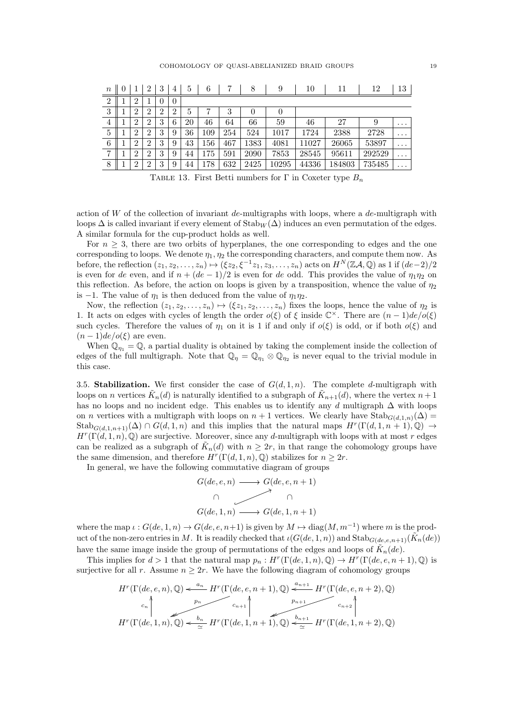| $\it{n}$       |                | 2              | 3              | 4              | 5  | 6   |     | 8    | 9     | 10    | 11     | 12     | 13       |
|----------------|----------------|----------------|----------------|----------------|----|-----|-----|------|-------|-------|--------|--------|----------|
| $\overline{2}$ | $\overline{2}$ |                | $\overline{0}$ | $\theta$       |    |     |     |      |       |       |        |        |          |
| 3              | $\overline{2}$ | റ              | $\overline{2}$ | $\overline{2}$ | 5  |     | 3   | 0    |       |       |        |        |          |
| $\overline{4}$ | $\overline{2}$ | $\overline{2}$ | 3              | 6              | 20 | 46  | 64  | 66   | 59    | 46    | 27     | 9      | $\cdots$ |
| 5              | $\overline{2}$ | $\overline{2}$ | 3              | 9              | 36 | 109 | 254 | 524  | 1017  | 1724  | 2388   | 2728   | $\cdots$ |
| 6              | $\overline{2}$ | $\overline{2}$ | 3              | 9              | 43 | 156 | 467 | 1383 | 4081  | 11027 | 26065  | 53897  | $\cdots$ |
| $\overline{7}$ | $\overline{2}$ | $\overline{2}$ | 3              | 9              | 44 | 175 | 591 | 2090 | 7853  | 28545 | 95611  | 292529 | $\cdots$ |
| 8              | $\overline{2}$ | റ              | 3              | 9              | 44 | 178 | 632 | 2425 | 10295 | 44336 | 184803 | 735485 | $\cdots$ |

TABLE 13. First Betti numbers for  $\Gamma$  in Coxeter type  $B_n$ 

action of W of the collection of invariant de-multigraphs with loops, where a de-multigraph with loops  $\Delta$  is called invariant if every element of  $\text{Stab}_W(\Delta)$  induces an even permutation of the edges. A similar formula for the cup-product holds as well.

For  $n \geq 3$ , there are two orbits of hyperplanes, the one corresponding to edges and the one corresponding to loops. We denote  $\eta_1, \eta_2$  the corresponding characters, and compute them now. As before, the reflection  $(z_1, z_2, \ldots, z_n) \mapsto (\xi z_2, \xi^{-1} z_1, z_3, \ldots, z_n)$  acts on  $H^N(\mathbb{Z}A, \mathbb{Q})$  as 1 if  $(de-2)/2$ is even for de even, and if  $n + (de - 1)/2$  is even for de odd. This provides the value of  $\eta_1 \eta_2$  on this reflection. As before, the action on loops is given by a transposition, whence the value of  $\eta_2$ is −1. The value of  $\eta_1$  is then deduced from the value of  $\eta_1\eta_2$ .

Now, the reflection  $(z_1, z_2, \ldots, z_n) \mapsto (\xi z_1, z_2, \ldots, z_n)$  fixes the loops, hence the value of  $\eta_2$  is 1. It acts on edges with cycles of length the order  $o(\xi)$  of  $\xi$  inside  $\mathbb{C}^{\times}$ . There are  $(n-1)de/o(\xi)$ such cycles. Therefore the values of  $\eta_1$  on it is 1 if and only if  $o(\xi)$  is odd, or if both  $o(\xi)$  and  $(n-1)de/o(\xi)$  are even.

When  $\mathbb{Q}_{\eta_1} = \mathbb{Q}$ , a partial duality is obtained by taking the complement inside the collection of edges of the full multigraph. Note that  $\mathbb{Q}_\eta = \mathbb{Q}_{\eta_1} \otimes \mathbb{Q}_{\eta_2}$  is never equal to the trivial module in this case.

<span id="page-18-0"></span>3.5. Stabilization. We first consider the case of  $G(d, 1, n)$ . The complete d-multigraph with loops on n vertices  $\tilde{K}_n(d)$  is naturally identified to a subgraph of  $\tilde{K}_{n+1}(d)$ , where the vertex  $n+1$ has no loops and no incident edge. This enables us to identify any d multigraph  $\Delta$  with loops on *n* vertices with a multigraph with loops on  $n + 1$  vertices. We clearly have Stab<sub>G(d,1,n)</sub>( $\Delta$ ) =  $\operatorname{Stab}_{G(d,1,n+1)}(\Delta) \cap G(d,1,n)$  and this implies that the natural maps  $H^r(\Gamma(d,1,n+1),\mathbb{Q}) \to$  $H^{r}(\Gamma(d,1,n),\mathbb{Q})$  are surjective. Moreover, since any d-multigraph with loops with at most r edges can be realized as a subgraph of  $\tilde{K}_n(d)$  with  $n \geq 2r$ , in that range the cohomology groups have the same dimension, and therefore  $H^r(\Gamma(d, 1, n), \mathbb{Q})$  stabilizes for  $n \geq 2r$ .

In general, we have the following commutative diagram of groups

$$
G(de, e, n) \longrightarrow G(de, e, n + 1)
$$
  
\n
$$
\cap \qquad \qquad \cap
$$
  
\n
$$
G(de, 1, n) \longrightarrow G(de, 1, n + 1)
$$

where the map  $\iota : G(de, 1, n) \to G(de, e, n+1)$  is given by  $M \mapsto diag(M, m^{-1})$  where m is the product of the non-zero entries in M. It is readily checked that  $\iota(G(de,1,n))$  and  $\text{Stab}_{G(de,e,n+1)}(\tilde{K}_n(de))$ have the same image inside the group of permutations of the edges and loops of  $\tilde{K}_n(de)$ .

This implies for  $d > 1$  that the natural map  $p_n : H^r(\Gamma(de, 1, n), \mathbb{Q}) \to H^r(\Gamma(de, e, n+1), \mathbb{Q})$  is surjective for all r. Assume  $n \geq 2r$ . We have the following diagram of cohomology groups

$$
H^{r}(\Gamma(de,e,n),\mathbb{Q}) \xleftarrow{a_n} H^{r}(\Gamma(de,e,n+1),\mathbb{Q}) \xleftarrow{a_{n+1}} H^{r}(\Gamma(de,e,n+2),\mathbb{Q})
$$
  
\n
$$
c_n \uparrow \qquad c_{n+1} \uparrow \qquad c_{n+2} \uparrow \qquad c_{n+2} \uparrow \qquad c_{n+2} \uparrow \qquad c_{n+2} \uparrow \qquad c_{n+2} \uparrow \qquad c_{n+2} \uparrow \qquad c_{n+2} \uparrow \qquad c_{n+2} \uparrow \qquad c_{n+2} \uparrow \qquad c_{n+2} \uparrow \qquad c_{n+2} \uparrow \qquad c_{n+2} \uparrow \qquad c_{n+2} \uparrow \qquad c_{n+2} \uparrow \qquad c_{n+2} \uparrow \qquad c_{n+2} \uparrow \qquad c_{n+2} \uparrow \qquad c_{n+2} \uparrow \qquad c_{n+2} \uparrow \qquad c_{n+2} \uparrow \qquad c_{n+2} \uparrow \qquad c_{n+2} \uparrow \qquad c_{n+2} \uparrow \qquad c_{n+2} \uparrow \qquad c_{n+2} \uparrow \qquad c_{n+2} \uparrow \qquad c_{n+2} \uparrow \qquad c_{n+2} \uparrow \qquad c_{n+2} \uparrow \qquad c_{n+2} \uparrow \qquad c_{n+2} \uparrow \qquad c_{n+2} \uparrow \qquad c_{n+2} \uparrow \qquad c_{n+2} \uparrow \qquad c_{n+2} \uparrow \qquad c_{n+2} \uparrow \qquad c_{n+2} \uparrow \qquad c_{n+2} \uparrow \qquad c_{n+2} \uparrow \qquad c_{n+2} \uparrow \qquad c_{n+2} \uparrow \qquad c_{n+2} \uparrow \qquad c_{n+2} \uparrow \qquad c_{n+2} \uparrow \qquad c_{n+2} \uparrow \qquad c_{n+2} \uparrow \qquad c_{n+2} \uparrow \qquad c_{n+2} \uparrow \qquad c_{n+2} \uparrow \qquad c_{n+2} \uparrow \qquad c_{n+2} \uparrow \qquad c_{n+2} \uparrow \qquad c_{n+2} \uparrow \qquad c_{n+2} \uparrow \qquad c_{n+2} \up
$$